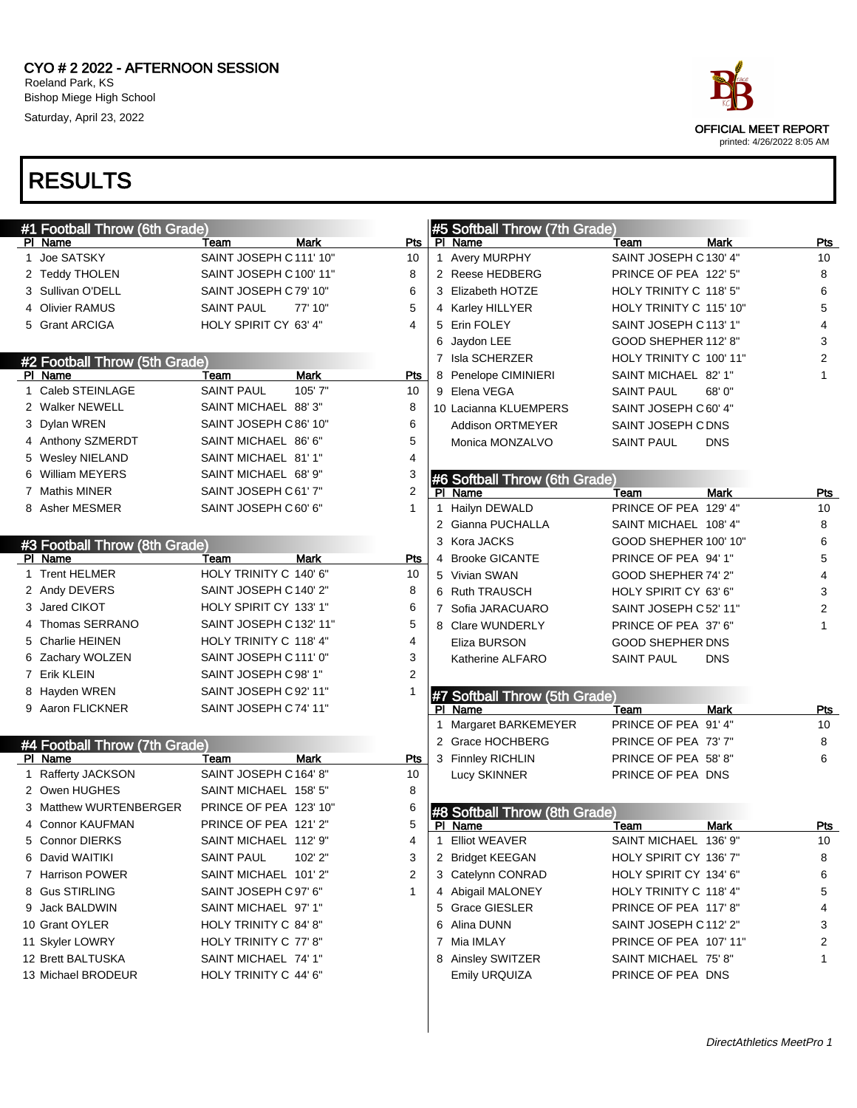

| #1 Football Throw (6th Grade) |                         |             |              |    | #5 Softball Throw (7th Grade) |                         |             |            |
|-------------------------------|-------------------------|-------------|--------------|----|-------------------------------|-------------------------|-------------|------------|
| PI Name                       | Team                    | Mark        | Pts          |    | PI Name                       | Team                    | <b>Mark</b> | Pts        |
| 1 Joe SATSKY                  | SAINT JOSEPH C111' 10"  |             | 10           |    | 1 Avery MURPHY                | SAINT JOSEPH C 130' 4"  |             | 10         |
| 2 Teddy THOLEN                | SAINT JOSEPH C 100' 11" |             | 8            |    | 2 Reese HEDBERG               | PRINCE OF PEA 122' 5"   |             | 8          |
| 3 Sullivan O'DELL             | SAINT JOSEPH C79' 10"   |             | 6            |    | 3 Elizabeth HOTZE             | HOLY TRINITY C 118' 5"  |             | 6          |
| 4 Olivier RAMUS               | <b>SAINT PAUL</b>       | 77' 10"     | 5            |    | 4 Karley HILLYER              | HOLY TRINITY C 115' 10" |             | 5          |
| 5 Grant ARCIGA                | HOLY SPIRIT CY 63' 4"   |             | 4            |    | 5 Erin FOLEY                  | SAINT JOSEPH C113' 1"   |             | 4          |
|                               |                         |             |              |    | 6 Jaydon LEE                  | GOOD SHEPHER 112' 8"    |             | 3          |
| #2 Football Throw (5th Grade) |                         |             |              |    | 7 Isla SCHERZER               | HOLY TRINITY C 100' 11" |             | 2          |
| PI Name                       | Team                    | <b>Mark</b> | <b>Pts</b>   |    | 8 Penelope CIMINIERI          | SAINT MICHAEL 82' 1"    |             | 1          |
| 1 Caleb STEINLAGE             | <b>SAINT PAUL</b>       | 105' 7"     | 10           |    | 9 Elena VEGA                  | <b>SAINT PAUL</b>       | 68'0"       |            |
| 2 Walker NEWELL               | SAINT MICHAEL 88'3"     |             | 8            |    | 10 Lacianna KLUEMPERS         | SAINT JOSEPH C 60' 4"   |             |            |
| 3 Dylan WREN                  | SAINT JOSEPH C 86' 10"  |             | 6            |    | <b>Addison ORTMEYER</b>       | SAINT JOSEPH C DNS      |             |            |
| 4 Anthony SZMERDT             | SAINT MICHAEL 86' 6"    |             | 5            |    | Monica MONZALVO               | <b>SAINT PAUL</b>       | <b>DNS</b>  |            |
| 5 Wesley NIELAND              | SAINT MICHAEL 81'1"     |             | 4            |    |                               |                         |             |            |
| 6 William MEYERS              | SAINT MICHAEL 68' 9"    |             | 3            |    | #6 Softball Throw (6th Grade) |                         |             |            |
| 7 Mathis MINER                | SAINT JOSEPH C61' 7"    |             | 2            |    | PI Name                       | Team                    | <b>Mark</b> | Pts        |
| 8 Asher MESMER                | SAINT JOSEPH C 60' 6"   |             | 1            | 1  | Hailyn DEWALD                 | PRINCE OF PEA 129' 4"   |             | 10         |
|                               |                         |             |              |    | 2 Gianna PUCHALLA             | SAINT MICHAEL 108' 4"   |             | 8          |
| #3 Football Throw (8th Grade) |                         |             |              |    | 3 Kora JACKS                  | GOOD SHEPHER 100' 10"   |             | 6          |
| PI Name                       | Team                    | Mark        | Pts          |    | 4 Brooke GICANTE              | PRINCE OF PEA 94' 1"    |             | 5          |
| 1 Trent HELMER                | HOLY TRINITY C 140' 6"  |             | 10           |    | 5 Vivian SWAN                 | GOOD SHEPHER 74' 2"     |             | 4          |
| 2 Andy DEVERS                 | SAINT JOSEPH C140' 2"   |             | 8            |    | 6 Ruth TRAUSCH                | HOLY SPIRIT CY 63' 6"   |             | 3          |
| 3 Jared CIKOT                 | HOLY SPIRIT CY 133' 1"  |             | 6            |    | 7 Sofia JARACUARO             | SAINT JOSEPH C 52' 11"  |             | 2          |
| 4 Thomas SERRANO              | SAINT JOSEPH C 132' 11" |             | 5            |    | 8 Clare WUNDERLY              | PRINCE OF PEA 37' 6"    |             | 1          |
| 5 Charlie HEINEN              | HOLY TRINITY C 118' 4"  |             | 4            |    | Eliza BURSON                  | <b>GOOD SHEPHER DNS</b> |             |            |
| 6 Zachary WOLZEN              | SAINT JOSEPH C111' 0"   |             | 3            |    | Katherine ALFARO              | <b>SAINT PAUL</b>       | <b>DNS</b>  |            |
| 7 Erik KLEIN                  | SAINT JOSEPH C98' 1"    |             | 2            |    |                               |                         |             |            |
| 8 Hayden WREN                 | SAINT JOSEPH C92' 11"   |             |              |    | #7 Softball Throw (5th Grade) |                         |             |            |
| 9 Aaron FLICKNER              | SAINT JOSEPH C74' 11"   |             |              |    | PI Name                       | Team                    | Mark        | Pts        |
|                               |                         |             |              | 1  | Margaret BARKEMEYER           | PRINCE OF PEA 91' 4"    |             | 10         |
| #4 Football Throw (7th Grade) |                         |             |              |    | 2 Grace HOCHBERG              | PRINCE OF PEA 73'7"     |             | 8          |
| PI Name                       | Team                    | <b>Mark</b> | Pts          |    | 3 Finnley RICHLIN             | PRINCE OF PEA 58'8"     |             | 6          |
| 1 Rafferty JACKSON            | SAINT JOSEPH C164' 8"   |             | 10           |    | Lucy SKINNER                  | PRINCE OF PEA DNS       |             |            |
| 2 Owen HUGHES                 | SAINT MICHAEL 158' 5"   |             | 8            |    |                               |                         |             |            |
| 3 Matthew WURTENBERGER        | PRINCE OF PEA 123' 10"  |             | 6            |    | #8 Softball Throw (8th Grade) |                         |             |            |
| 4 Connor KAUFMAN              | PRINCE OF PEA 121'2"    |             | 5            |    | PI Name                       | Team                    | <b>Mark</b> | <u>Pts</u> |
| 5 Connor DIERKS               | SAINT MICHAEL 112' 9"   |             | 4            | -1 | <b>Elliot WEAVER</b>          | <b>SAINT MICHAEL</b>    | 136' 9"     | 10         |
| 6 David WAITIKI               | <b>SAINT PAUL</b>       | 102' 2"     | 3            |    | 2 Bridget KEEGAN              | HOLY SPIRIT CY 136' 7"  |             | 8          |
| 7 Harrison POWER              | SAINT MICHAEL 101'2"    |             | 2            |    | 3 Catelynn CONRAD             | HOLY SPIRIT CY 134' 6"  |             | 6          |
| 8 Gus STIRLING                | SAINT JOSEPH C97' 6"    |             | $\mathbf{1}$ |    | 4 Abigail MALONEY             | HOLY TRINITY C 118' 4"  |             | 5          |
| 9 Jack BALDWIN                | SAINT MICHAEL 97' 1"    |             |              |    | 5 Grace GIESLER               | PRINCE OF PEA 117' 8"   |             | 4          |
| 10 Grant OYLER                | HOLY TRINITY C 84' 8"   |             |              |    | 6 Alina DUNN                  | SAINT JOSEPH C112' 2"   |             | 3          |
| 11 Skyler LOWRY               | HOLY TRINITY C 77' 8"   |             |              |    | 7 Mia IMLAY                   | PRINCE OF PEA 107' 11"  |             | 2          |
| 12 Brett BALTUSKA             | SAINT MICHAEL 74' 1"    |             |              |    | 8 Ainsley SWITZER             | SAINT MICHAEL 75' 8"    |             | 1          |
| 13 Michael BRODEUR            | HOLY TRINITY C 44' 6"   |             |              |    | <b>Emily URQUIZA</b>          | PRINCE OF PEA DNS       |             |            |
|                               |                         |             |              |    |                               |                         |             |            |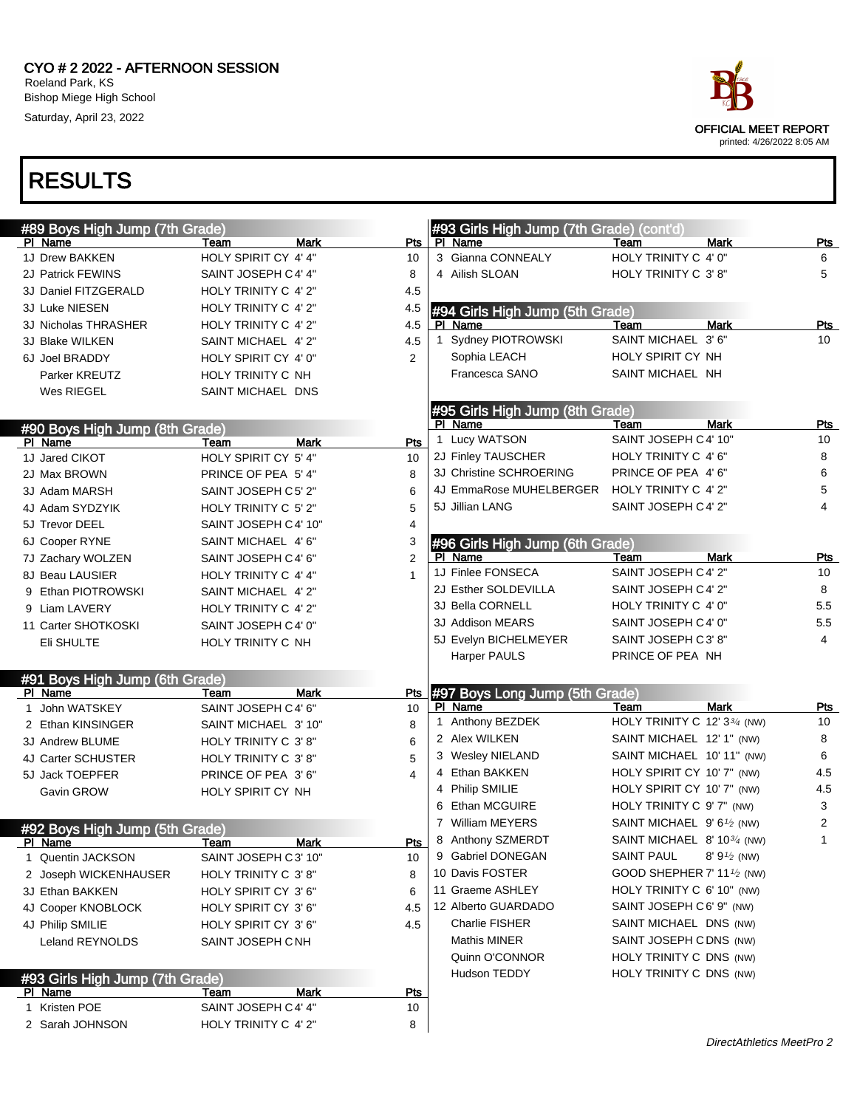

| #89 Boys High Jump (7th Grade)  |                      |                    |   | #93 Girls High Jump (7th Grade) (cont'd) |                                         |              |            |
|---------------------------------|----------------------|--------------------|---|------------------------------------------|-----------------------------------------|--------------|------------|
| PI Name                         | Team                 | Pts<br>Mark        |   | PI Name                                  | Team                                    | <b>Mark</b>  | <u>Pts</u> |
| 1J Drew BAKKEN                  | HOLY SPIRIT CY 4' 4" | 10                 |   | 3 Gianna CONNEALY                        | HOLY TRINITY C 4' 0"                    |              | 6          |
| 2J Patrick FEWINS               | SAINT JOSEPH C4' 4"  | 8                  |   | 4 Ailish SLOAN                           | HOLY TRINITY C 3'8"                     |              | 5          |
| 3J Daniel FITZGERALD            | HOLY TRINITY C 4' 2" | 4.5                |   |                                          |                                         |              |            |
| 3J Luke NIESEN                  | HOLY TRINITY C 4' 2" | 4.5                |   | #94 Girls High Jump (5th Grade)          |                                         |              |            |
| 3J Nicholas THRASHER            | HOLY TRINITY C 4' 2" | 4.5                |   | PI Name                                  | Team                                    | Mark         | <u>Pts</u> |
| 3J Blake WILKEN                 | SAINT MICHAEL 4' 2"  | 4.5                |   | 1 Sydney PIOTROWSKI                      | SAINT MICHAEL 3'6"                      |              | 10         |
| 6J Joel BRADDY                  | HOLY SPIRIT CY 4' 0" | 2                  |   | Sophia LEACH                             | HOLY SPIRIT CY NH                       |              |            |
| Parker KREUTZ                   | HOLY TRINITY C NH    |                    |   | Francesca SANO                           | SAINT MICHAEL NH                        |              |            |
| Wes RIEGEL                      | SAINT MICHAEL DNS    |                    |   |                                          |                                         |              |            |
|                                 |                      |                    |   | #95 Girls High Jump (8th Grade)          |                                         |              |            |
| #90 Boys High Jump (8th Grade)  |                      |                    |   | PI Name                                  | Team                                    | Mark         | Pts        |
| PI Name                         | Team                 | Mark<br>Pts        |   | 1 Lucy WATSON                            | SAINT JOSEPH C 4' 10"                   |              | 10         |
| 1J Jared CIKOT                  | HOLY SPIRIT CY 5'4"  | 10                 |   | 2J Finley TAUSCHER                       | HOLY TRINITY C 4' 6"                    |              | 8          |
| 2J Max BROWN                    | PRINCE OF PEA 5'4"   | 8                  |   | 3J Christine SCHROERING                  | PRINCE OF PEA 4' 6"                     |              | 6          |
| 3J Adam MARSH                   | SAINT JOSEPH C5' 2"  | 6                  |   | 4J EmmaRose MUHELBERGER                  | HOLY TRINITY C 4' 2"                    |              | 5          |
| 4J Adam SYDZYIK                 | HOLY TRINITY C 5' 2" | 5                  |   | 5J Jillian LANG                          | SAINT JOSEPH C4' 2"                     |              | 4          |
| 5J Trevor DEEL                  | SAINT JOSEPH C4' 10" | 4                  |   |                                          |                                         |              |            |
| 6J Cooper RYNE                  | SAINT MICHAEL 4'6"   | 3                  |   | #96 Girls High Jump (6th Grade)          |                                         |              |            |
| 7J Zachary WOLZEN               | SAINT JOSEPH C4' 6"  | $\overline{2}$     |   | PI Name                                  | Team                                    | <b>Mark</b>  | Pts        |
| 8J Beau LAUSIER                 | HOLY TRINITY C 4' 4" | 1                  |   | 1J Finlee FONSECA                        | SAINT JOSEPH C 4' 2"                    |              | 10         |
| 9 Ethan PIOTROWSKI              | SAINT MICHAEL 4'2"   |                    |   | 2J Esther SOLDEVILLA                     | SAINT JOSEPH C 4' 2"                    |              | 8          |
| 9 Liam LAVERY                   | HOLY TRINITY C 4' 2" |                    |   | 3J Bella CORNELL                         | HOLY TRINITY C 4' 0"                    |              | 5.5        |
| 11 Carter SHOTKOSKI             | SAINT JOSEPH C4' 0"  |                    |   | 3J Addison MEARS                         | SAINT JOSEPH C4' 0"                     |              | 5.5        |
| Eli SHULTE                      | HOLY TRINITY C NH    |                    |   | 5J Evelyn BICHELMEYER                    | SAINT JOSEPH C3'8"                      |              | 4          |
|                                 |                      |                    |   | Harper PAULS                             | PRINCE OF PEA NH                        |              |            |
| #91 Boys High Jump (6th Grade)  |                      |                    |   |                                          |                                         |              |            |
| PI Name                         | Team                 | Mark<br>Pts        |   | #97 Boys Long Jump (5th Grade)           |                                         |              |            |
| 1 John WATSKEY                  | SAINT JOSEPH C4' 6"  | 10                 |   | PI Name                                  | Team                                    | <b>Mark</b>  | Pts        |
| 2 Ethan KINSINGER               | SAINT MICHAEL 3' 10" | 8                  |   | 1 Anthony BEZDEK                         | HOLY TRINITY C 12' 33/4 (NW)            |              | 10         |
| 3J Andrew BLUME                 | HOLY TRINITY C 3'8"  | 6                  |   | 2 Alex WILKEN                            | SAINT MICHAEL 12' 1" (NW)               |              | 8          |
| 4J Carter SCHUSTER              | HOLY TRINITY C 3'8"  | 5                  |   | 3 Wesley NIELAND                         | SAINT MICHAEL 10' 11" (NW)              |              | 6          |
| 5J Jack TOEPFER                 | PRINCE OF PEA 3'6"   | 4                  |   | 4 Ethan BAKKEN                           | HOLY SPIRIT CY 10' 7" (NW)              |              | 4.5        |
| Gavin GROW                      | HOLY SPIRIT CY NH    |                    |   | 4 Philip SMILIE                          | HOLY SPIRIT CY 10' 7" (NW)              |              | 4.5        |
|                                 |                      |                    | 6 | Ethan MCGUIRE                            | HOLY TRINITY C 9' 7" (NW)               |              | 3          |
| #92 Boys High Jump (5th Grade)  |                      |                    |   | 7 William MEYERS                         | SAINT MICHAEL 9' 6 <sup>1/2</sup> (NW)  |              | 2          |
| PI Name                         | Team                 | Pts<br>Mark        |   | 8 Anthony SZMERDT                        | SAINT MICHAEL 8' 10 <sup>3/4</sup> (NW) |              | 1          |
| 1 Quentin JACKSON               | SAINT JOSEPH C3' 10" | 10                 |   | 9 Gabriel DONEGAN                        | <b>SAINT PAUL</b>                       | $8'9'2$ (NW) |            |
| 2 Joseph WICKENHAUSER           | HOLY TRINITY C 3'8"  | 8                  |   | 10 Davis FOSTER                          | GOOD SHEPHER 7' 11 $\frac{1}{2}$ (NW)   |              |            |
| 3J Ethan BAKKEN                 | HOLY SPIRIT CY 3'6"  | 6                  |   | 11 Graeme ASHLEY                         | HOLY TRINITY C 6' 10" (NW)              |              |            |
| 4J Cooper KNOBLOCK              | HOLY SPIRIT CY 3'6"  | 4.5                |   | 12 Alberto GUARDADO                      | SAINT JOSEPH C 6' 9" (NW)               |              |            |
| 4J Philip SMILIE                | HOLY SPIRIT CY 3'6"  | 4.5                |   | Charlie FISHER                           | SAINT MICHAEL DNS (NW)                  |              |            |
| Leland REYNOLDS                 | SAINT JOSEPH CNH     |                    |   | Mathis MINER                             | SAINT JOSEPH CDNS (NW)                  |              |            |
|                                 |                      |                    |   | Quinn O'CONNOR                           | HOLY TRINITY C DNS (NW)                 |              |            |
| #93 Girls High Jump (7th Grade) |                      |                    |   | Hudson TEDDY                             | HOLY TRINITY C DNS (NW)                 |              |            |
| PI Name                         | Team                 | Mark<br><u>Pts</u> |   |                                          |                                         |              |            |
| 1 Kristen POE                   | SAINT JOSEPH C4' 4"  | 10                 |   |                                          |                                         |              |            |
| 2 Sarah JOHNSON                 | HOLY TRINITY C 4' 2" | 8                  |   |                                          |                                         |              |            |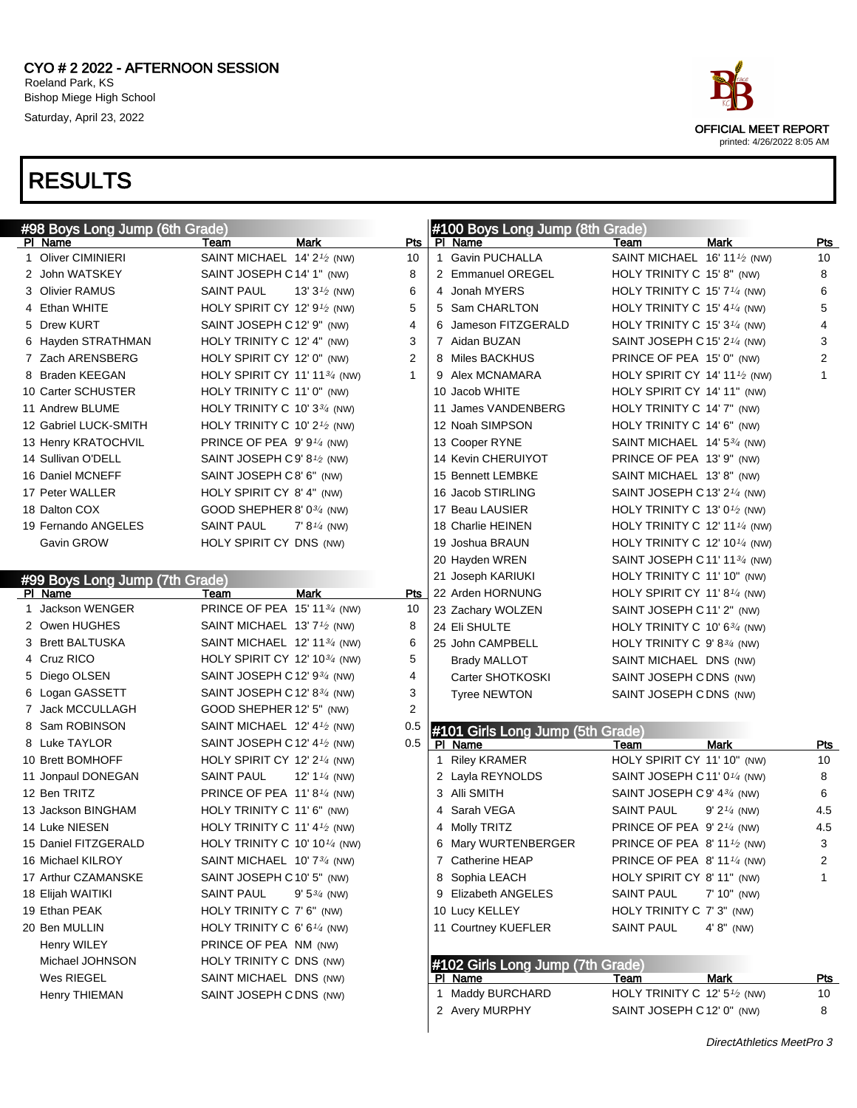

| #98 Boys Long Jump (6th Grade) |                                                      |                          |                | #100 Boys Long Jump (8th Grade)  |                                                       |                |                |
|--------------------------------|------------------------------------------------------|--------------------------|----------------|----------------------------------|-------------------------------------------------------|----------------|----------------|
| PI Name                        | Team                                                 | <b>Mark</b>              | Pts            | PI Name                          | Team                                                  | <b>Mark</b>    | Pts            |
| 1 Oliver CIMINIERI             | SAINT MICHAEL 14' 2 <sup>1</sup> / <sub>2</sub> (NW) |                          | 10             | 1 Gavin PUCHALLA                 | SAINT MICHAEL 16' 11 <sup>1</sup> / <sub>2</sub> (NW) |                | 10             |
| 2 John WATSKEY                 | SAINT JOSEPH C14' 1" (NW)                            |                          | 8              | 2 Emmanuel OREGEL                | HOLY TRINITY C 15' 8" (NW)                            |                | 8              |
| 3 Olivier RAMUS                | SAINT PAUL                                           | 13' $3\frac{1}{2}$ (NW)  | 6              | 4 Jonah MYERS                    | HOLY TRINITY C 15' $7\frac{1}{4}$ (NW)                |                | 6              |
| 4 Ethan WHITE                  | HOLY SPIRIT CY 12' $9\frac{1}{2}$ (NW)               |                          | 5              | 5 Sam CHARLTON                   | HOLY TRINITY C 15' 4 $\frac{1}{4}$ (NW)               |                | 5              |
| 5 Drew KURT                    | SAINT JOSEPH C12' 9" (NW)                            |                          | 4              | 6 Jameson FITZGERALD             | HOLY TRINITY C 15' 3 $\frac{1}{4}$ (NW)               |                | 4              |
| 6 Hayden STRATHMAN             | HOLY TRINITY C 12' 4" (NW)                           |                          | 3              | 7 Aidan BUZAN                    | SAINT JOSEPH C 15' 2 $\frac{1}{4}$ (NW)               |                | 3              |
| 7 Zach ARENSBERG               | HOLY SPIRIT CY 12' 0" (NW)                           |                          | 2              | 8 Miles BACKHUS                  | PRINCE OF PEA 15' 0" (NW)                             |                | $\overline{2}$ |
| 8 Braden KEEGAN                | HOLY SPIRIT CY 11' 11 $\frac{3}{4}$ (NW)             |                          | 1              | 9 Alex MCNAMARA                  | HOLY SPIRIT CY 14' 11 $\frac{1}{2}$ (NW)              |                | 1              |
| 10 Carter SCHUSTER             | HOLY TRINITY C 11' 0" (NW)                           |                          |                | 10 Jacob WHITE                   | HOLY SPIRIT CY 14' 11" (NW)                           |                |                |
| 11 Andrew BLUME                | HOLY TRINITY C 10' $3\frac{3}{4}$ (NW)               |                          |                | 11 James VANDENBERG              | HOLY TRINITY C 14' 7" (NW)                            |                |                |
| 12 Gabriel LUCK-SMITH          | HOLY TRINITY C 10' $2\frac{1}{2}$ (NW)               |                          |                | 12 Noah SIMPSON                  | HOLY TRINITY C 14' 6" (NW)                            |                |                |
| 13 Henry KRATOCHVIL            | PRINCE OF PEA $9'9'4$ (NW)                           |                          |                | 13 Cooper RYNE                   | SAINT MICHAEL $14'$ 5 $\frac{3}{4}$ (NW)              |                |                |
| 14 Sullivan O'DELL             | SAINT JOSEPH C9' 8 <sup>1</sup> /2 (NW)              |                          |                | 14 Kevin CHERUIYOT               | PRINCE OF PEA 13' 9" (NW)                             |                |                |
| 16 Daniel MCNEFF               | SAINT JOSEPH C8' 6" (NW)                             |                          |                | 15 Bennett LEMBKE                | SAINT MICHAEL 13'8" (NW)                              |                |                |
| 17 Peter WALLER                | HOLY SPIRIT CY 8' 4" (NW)                            |                          |                | 16 Jacob STIRLING                | SAINT JOSEPH C 13' 2 $\frac{1}{4}$ (NW)               |                |                |
| 18 Dalton COX                  | GOOD SHEPHER 8' 0 <sup>3/4</sup> (NW)                |                          |                | 17 Beau LAUSIER                  | HOLY TRINITY C 13' 0 <sup>1</sup> / <sub>2</sub> (NW) |                |                |
| 19 Fernando ANGELES            | <b>SAINT PAUL</b>                                    | $7' 8\frac{1}{4}$ (NW)   |                | 18 Charlie HEINEN                | HOLY TRINITY C 12' 11 $\frac{1}{4}$ (NW)              |                |                |
| Gavin GROW                     | HOLY SPIRIT CY DNS (NW)                              |                          |                | 19 Joshua BRAUN                  | HOLY TRINITY C 12' 10 $\frac{1}{4}$ (NW)              |                |                |
|                                |                                                      |                          |                | 20 Hayden WREN                   | SAINT JOSEPH C 11' 11 <sup>3/4</sup> (NW)             |                |                |
| #99 Boys Long Jump (7th Grade) |                                                      |                          |                | 21 Joseph KARIUKI                | HOLY TRINITY C 11' 10" (NW)                           |                |                |
| PI Name                        | Team                                                 | Mark                     | Pts            | 22 Arden HORNUNG                 | HOLY SPIRIT CY 11' 8 $\frac{1}{4}$ (NW)               |                |                |
| 1 Jackson WENGER               | PRINCE OF PEA 15' 1134 (NW)                          |                          | 10             | 23 Zachary WOLZEN                | SAINT JOSEPH C11' 2" (NW)                             |                |                |
| 2 Owen HUGHES                  | SAINT MICHAEL 13' $7\frac{1}{2}$ (NW)                |                          | 8              | 24 Eli SHULTE                    | HOLY TRINITY C 10' $6\frac{3}{4}$ (NW)                |                |                |
| 3 Brett BALTUSKA               | SAINT MICHAEL $12'$ 11 $\frac{3}{4}$ (NW)            |                          | 6              | 25 John CAMPBELL                 | HOLY TRINITY C $9'8^{3/4}$ (NW)                       |                |                |
| 4 Cruz RICO                    | HOLY SPIRIT CY 12' 10 $\frac{3}{4}$ (NW)             |                          | 5              | <b>Brady MALLOT</b>              | SAINT MICHAEL DNS (NW)                                |                |                |
| 5 Diego OLSEN                  | SAINT JOSEPH C 12' 9 <sup>3/4</sup> (NW)             |                          | 4              | Carter SHOTKOSKI                 | SAINT JOSEPH CDNS (NW)                                |                |                |
| 6 Logan GASSETT                | SAINT JOSEPH C 12' 8 <sup>3/4</sup> (NW)             |                          | 3              | <b>Tyree NEWTON</b>              | SAINT JOSEPH CDNS (NW)                                |                |                |
| 7 Jack MCCULLAGH               | GOOD SHEPHER 12' 5" (NW)                             |                          | $\overline{2}$ |                                  |                                                       |                |                |
| 8 Sam ROBINSON                 | SAINT MICHAEL 12' $4\frac{1}{2}$ (NW)                |                          | 0.5            | #101 Girls Long Jump (5th Grade) |                                                       |                |                |
| 8 Luke TAYLOR                  | SAINT JOSEPH C 12' 4 $\frac{1}{2}$ (NW)              |                          | 0.5            | PI Name                          | Team                                                  | <b>Mark</b>    | Pts            |
| 10 Brett BOMHOFF               | HOLY SPIRIT CY 12' 2 <sup>1/4</sup> (NW)             |                          |                | 1 Riley KRAMER                   | HOLY SPIRIT CY 11' 10" (NW)                           |                | 10             |
| 11 Jonpaul DONEGAN             | <b>SAINT PAUL</b>                                    | 12' 1 $\frac{1}{4}$ (NW) |                | 2 Layla REYNOLDS                 | SAINT JOSEPH C 11' 0 <sup>1/4</sup> (NW)              |                | 8              |
| 12 Ben TRITZ                   | PRINCE OF PEA 11'8 <sup>1/4</sup> (NW)               |                          |                | 3 Alli SMITH                     | SAINT JOSEPH C 9' 43/4 (NW)                           |                | 6              |
| 13 Jackson BINGHAM             | HOLY TRINITY C 11' 6" (NW)                           |                          |                | 4 Sarah VEGA                     | <b>SAINT PAUL</b>                                     | $9' 21/4$ (NW) | 4.5            |
| 14 Luke NIESEN                 | HOLY TRINITY C 11' 4 $\frac{1}{2}$ (NW)              |                          |                | 4 Molly TRITZ                    | PRINCE OF PEA $9'2'4$ (NW)                            |                | 4.5            |
| 15 Daniel FITZGERALD           | HOLY TRINITY C 10' 10 <sup>1/4</sup> (NW)            |                          |                | 6 Mary WURTENBERGER              | PRINCE OF PEA 8' 11 <sup>1/2</sup> (NW)               |                | 3 <sup>1</sup> |
| 16 Michael KILROY              | SAINT MICHAEL 10' 73/4 (NW)                          |                          |                | 7 Catherine HEAP                 | PRINCE OF PEA 8' 11 1/4 (NW)                          |                | 2              |
| 17 Arthur CZAMANSKE            | SAINT JOSEPH C10' 5" (NW)                            |                          |                | 8 Sophia LEACH                   | HOLY SPIRIT CY 8' 11" (NW)                            |                | 1              |
| 18 Elijah WAITIKI              | <b>SAINT PAUL</b>                                    | $9' 5^{3/4}$ (NW)        |                | 9 Elizabeth ANGELES              | <b>SAINT PAUL</b>                                     | $7' 10''$ (NW) |                |
| 19 Ethan PEAK                  | HOLY TRINITY C 7' 6" (NW)                            |                          |                | 10 Lucy KELLEY                   | HOLY TRINITY C 7' 3" (NW)                             |                |                |
| 20 Ben MULLIN                  | HOLY TRINITY C 6' 6 $\frac{1}{4}$ (NW)               |                          |                | 11 Courtney KUEFLER              | <b>SAINT PAUL</b>                                     | $4' 8''$ (NW)  |                |
| Henry WILEY                    | PRINCE OF PEA NM (NW)                                |                          |                |                                  |                                                       |                |                |
| Michael JOHNSON                | HOLY TRINITY C DNS (NW)                              |                          |                | #102 Girls Long Jump (7th Grade) |                                                       |                |                |
| Wes RIEGEL                     | SAINT MICHAEL DNS (NW)                               |                          |                | PI Name                          | Team                                                  | Mark           | <u>Pts</u>     |
| Henry THIEMAN                  | SAINT JOSEPH CDNS (NW)                               |                          |                | 1 Maddy BURCHARD                 | HOLY TRINITY C 12' 5 <sup>1/2</sup> (NW)              |                | 10             |
|                                |                                                      |                          |                | 2 Avery MURPHY                   | SAINT JOSEPH C 12' 0" (NW)                            |                | 8              |
|                                |                                                      |                          |                |                                  |                                                       |                |                |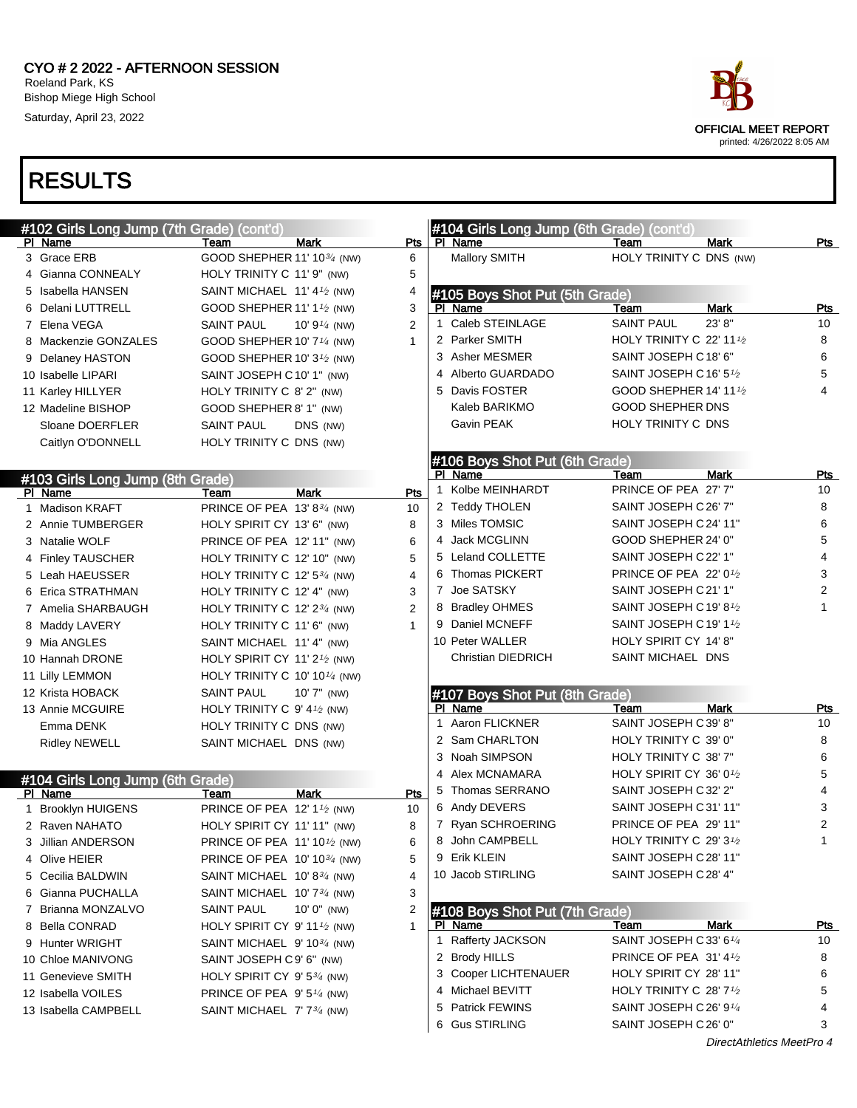#### CYO # 2 2022 - AFTERNOON SESSION Roeland Park, KS Bishop Miege High School Saturday, April 23, 2022



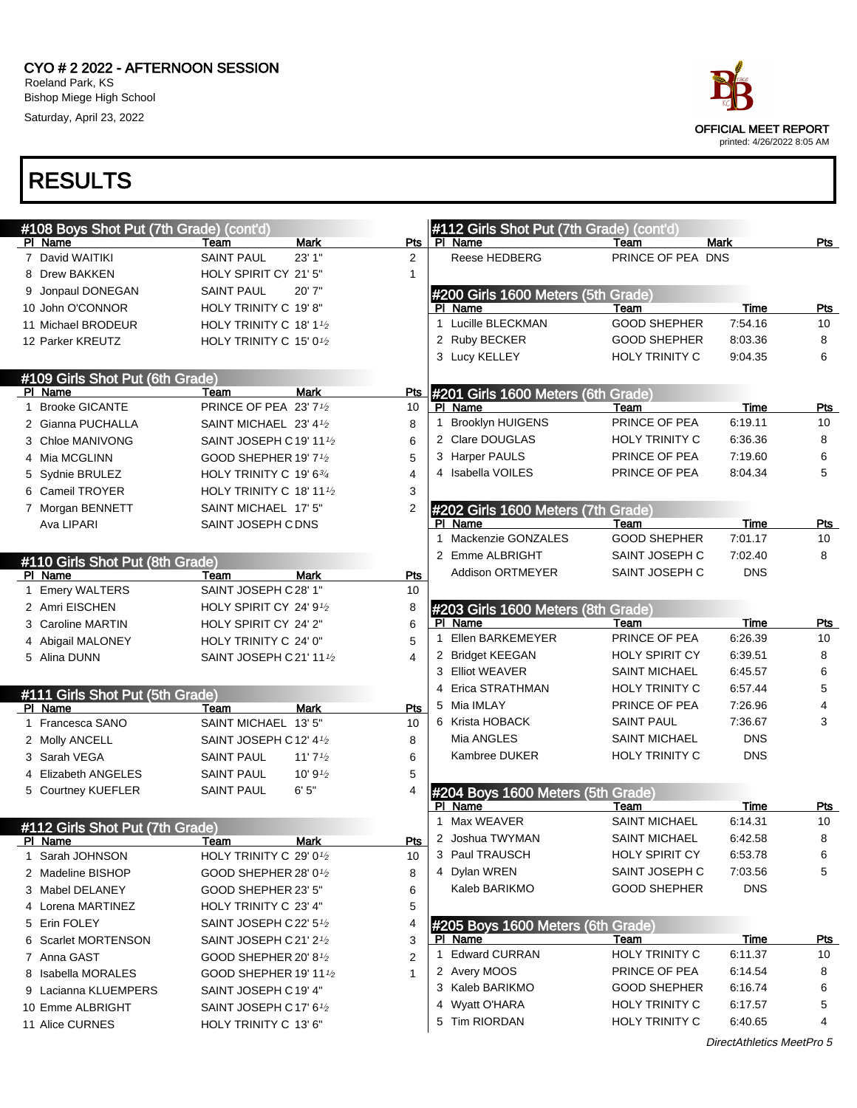

| #108 Boys Shot Put (7th Grade) (cont'd) |                                                  |                    |                     | #112 Girls Shot Put (7th Grade) (cont'd) |                       |             |            |
|-----------------------------------------|--------------------------------------------------|--------------------|---------------------|------------------------------------------|-----------------------|-------------|------------|
| PI Name                                 | Team                                             | Mark               | Pts                 | PI Name                                  | Team                  | <b>Mark</b> | Pts        |
| 7 David WAITIKI                         | <b>SAINT PAUL</b>                                | 23' 1"             | $\overline{2}$      | Reese HEDBERG                            | PRINCE OF PEA DNS     |             |            |
| 8 Drew BAKKEN                           | HOLY SPIRIT CY 21' 5"                            |                    | 1                   |                                          |                       |             |            |
| 9 Jonpaul DONEGAN                       | <b>SAINT PAUL</b>                                | 20'7"              |                     | #200 Girls 1600 Meters (5th Grade)       |                       |             |            |
| 10 John O'CONNOR                        | HOLY TRINITY C 19'8"                             |                    |                     | PI Name                                  | Team                  | Time        | Pts        |
| 11 Michael BRODEUR                      | HOLY TRINITY C 18' $1\frac{1}{2}$                |                    | $\mathbf{1}$        | Lucille BLECKMAN                         | <b>GOOD SHEPHER</b>   | 7:54.16     | 10         |
| 12 Parker KREUTZ                        | HOLY TRINITY C 15' 0 <sup>1</sup> / <sub>2</sub> |                    |                     | 2 Ruby BECKER                            | <b>GOOD SHEPHER</b>   | 8:03.36     | 8          |
|                                         |                                                  |                    |                     | 3 Lucy KELLEY                            | HOLY TRINITY C        | 9:04.35     | 6          |
| #109 Girls Shot Put (6th Grade)         |                                                  |                    |                     |                                          |                       |             |            |
| PI Name                                 | Team                                             | <b>Mark</b>        | <b>Pts</b>          | #201 Girls 1600 Meters (6th Grade)       |                       |             |            |
| 1 Brooke GICANTE                        | PRINCE OF PEA 23' 71/2                           |                    | 10                  | PI Name                                  | Team                  | Time        | <u>Pts</u> |
| 2 Gianna PUCHALLA                       | SAINT MICHAEL 23' 41/2                           |                    | 8                   | 1 Brooklyn HUIGENS                       | PRINCE OF PEA         | 6:19.11     | 10         |
| 3 Chloe MANIVONG                        | SAINT JOSEPH C 19' 11 1/2                        |                    | 6                   | 2 Clare DOUGLAS                          | HOLY TRINITY C        | 6:36.36     | 8          |
| 4 Mia MCGLINN                           | GOOD SHEPHER 19' 7 <sup>1</sup> /2               |                    | 5                   | 3 Harper PAULS                           | PRINCE OF PEA         | 7:19.60     | 6          |
| 5 Sydnie BRULEZ                         | HOLY TRINITY C 19' 634                           |                    | 4                   | 4 Isabella VOILES                        | PRINCE OF PEA         | 8:04.34     | 5          |
| 6 Cameil TROYER                         | HOLY TRINITY C 18' 11 $\frac{1}{2}$              |                    | 3                   |                                          |                       |             |            |
| 7 Morgan BENNETT                        | SAINT MICHAEL 17' 5"                             |                    | 2                   | #202 Girls 1600 Meters (7th Grade)       |                       |             |            |
| Ava LIPARI                              | SAINT JOSEPH C DNS                               |                    |                     | PI Name                                  | Team                  | <b>Time</b> | Pts        |
|                                         |                                                  |                    |                     | 1 Mackenzie GONZALES                     | <b>GOOD SHEPHER</b>   | 7:01.17     | 10         |
| #110 Girls Shot Put (8th Grade)         |                                                  |                    |                     | 2 Emme ALBRIGHT                          | SAINT JOSEPH C        | 7:02.40     | 8          |
| PI Name                                 | Team                                             | Mark               | Pts                 | <b>Addison ORTMEYER</b>                  | SAINT JOSEPH C        | <b>DNS</b>  |            |
| 1 Emery WALTERS                         | SAINT JOSEPH C28' 1"                             |                    | 10                  |                                          |                       |             |            |
| 2 Amri EISCHEN                          | HOLY SPIRIT CY 24' 91/2                          |                    | 8                   | #203 Girls 1600 Meters (8th Grade)       |                       |             |            |
| 3 Caroline MARTIN                       | HOLY SPIRIT CY 24' 2"                            |                    | 6                   | PI Name                                  | Team                  | <b>Time</b> | Pts        |
| 4 Abigail MALONEY                       | HOLY TRINITY C 24' 0"                            |                    | 5                   | Ellen BARKEMEYER                         | PRINCE OF PEA         | 6:26.39     | 10         |
| 5 Alina DUNN                            | SAINT JOSEPH C 21' 111/2                         |                    | 4                   | 2 Bridget KEEGAN                         | HOLY SPIRIT CY        | 6:39.51     | 8          |
|                                         |                                                  |                    |                     | 3 Elliot WEAVER                          | <b>SAINT MICHAEL</b>  | 6:45.57     | 6          |
| #111 Girls Shot Put (5th Grade)         |                                                  |                    |                     | 4 Erica STRATHMAN                        | HOLY TRINITY C        | 6:57.44     | 5          |
| PI Name                                 | Team                                             | <b>Mark</b>        | Pts                 | 5 Mia IMLAY                              | PRINCE OF PEA         | 7:26.96     | 4          |
| 1 Francesca SANO                        | SAINT MICHAEL 13' 5"                             |                    | 10                  | 6 Krista HOBACK                          | <b>SAINT PAUL</b>     | 7:36.67     | 3          |
| 2 Molly ANCELL                          | SAINT JOSEPH C12' 4 <sup>1</sup> /2              |                    | 8                   | Mia ANGLES                               | <b>SAINT MICHAEL</b>  | <b>DNS</b>  |            |
| 3 Sarah VEGA                            | <b>SAINT PAUL</b>                                | 11' $7\frac{1}{2}$ | 6                   | Kambree DUKER                            | <b>HOLY TRINITY C</b> | <b>DNS</b>  |            |
| 4 Elizabeth ANGELES                     | <b>SAINT PAUL</b>                                | 10' $9\frac{1}{2}$ | 5                   |                                          |                       |             |            |
| 5 Courtney KUEFLER                      | <b>SAINT PAUL</b>                                | 6'5''              | 4                   | #204 Boys 1600 Meters (5th Grade)        |                       |             |            |
|                                         |                                                  |                    |                     | PI Name                                  | Team                  | Time        | <u>Pts</u> |
| #112 Girls Shot Put (7th Grade)         |                                                  |                    |                     | Max WEAVER                               | <b>SAINT MICHAEL</b>  | 6:14.31     | 10         |
| <b>PI Name</b>                          | <u>Team</u>                                      | <u>Mark</u>        | Pts                 | 2 Joshua TWYMAN                          | <b>SAINT MICHAEL</b>  | 6:42.58     | 8          |
| 1 Sarah JOHNSON                         | HOLY TRINITY C 29' 0 <sup>1</sup> / <sub>2</sub> |                    | 10                  | 3 Paul TRAUSCH                           | <b>HOLY SPIRIT CY</b> | 6:53.78     | 6          |
| 2 Madeline BISHOP                       | GOOD SHEPHER 28' 01/2                            |                    | 8                   | 4 Dylan WREN                             | SAINT JOSEPH C        | 7:03.56     | 5          |
| 3 Mabel DELANEY                         | GOOD SHEPHER 23' 5"                              |                    | 6                   | Kaleb BARIKMO                            | <b>GOOD SHEPHER</b>   | <b>DNS</b>  |            |
| 4 Lorena MARTINEZ                       | HOLY TRINITY C 23' 4"                            |                    | 5                   |                                          |                       |             |            |
| 5 Erin FOLEY                            | SAINT JOSEPH C22' 51/2                           |                    | 4                   | #205 Boys 1600 Meters (6th Grade)        |                       |             |            |
| 6 Scarlet MORTENSON                     | SAINT JOSEPH C 21' 2 <sup>1</sup> /2             |                    | 3                   | PI Name                                  | Team                  | <b>Time</b> | <u>Pts</u> |
| 7 Anna GAST                             | GOOD SHEPHER 20' 8 <sup>1/2</sup>                |                    | 1<br>$\overline{2}$ | <b>Edward CURRAN</b>                     | HOLY TRINITY C        | 6:11.37     | 10         |
| 8 Isabella MORALES                      | GOOD SHEPHER 19' 11 1/2                          |                    | $\mathbf{1}$        | 2 Avery MOOS                             | PRINCE OF PEA         | 6:14.54     | 8          |
| 9 Lacianna KLUEMPERS                    | SAINT JOSEPH C19' 4"                             |                    |                     | 3 Kaleb BARIKMO                          | <b>GOOD SHEPHER</b>   | 6:16.74     | 6          |
| 10 Emme ALBRIGHT                        | SAINT JOSEPH C17' 61/2                           |                    |                     | 4 Wyatt O'HARA                           | HOLY TRINITY C        | 6:17.57     | 5          |
| 11 Alice CURNES                         | HOLY TRINITY C 13' 6"                            |                    |                     | 5 Tim RIORDAN                            | HOLY TRINITY C        | 6:40.65     | 4          |
|                                         |                                                  |                    |                     |                                          |                       |             |            |

DirectAthletics MeetPro 5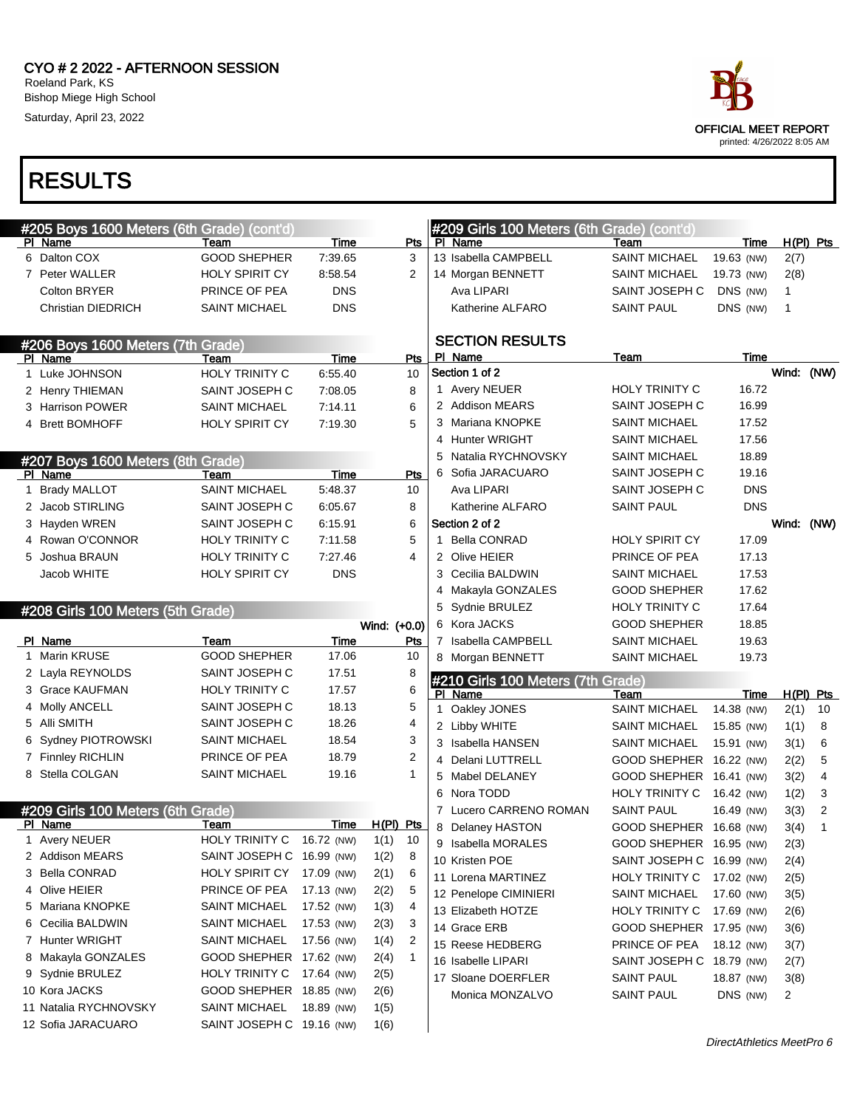

| #205 Boys 1600 Meters (6th Grade) (cont'd)<br>PI Name | Team                      | Time       | Pts                  |             | #209 Girls 100 Meters (6th Grade) (cont'd)<br>PI Name | Team                      | Time       |            | $H(PI)$ Pts    |
|-------------------------------------------------------|---------------------------|------------|----------------------|-------------|-------------------------------------------------------|---------------------------|------------|------------|----------------|
| 6 Dalton COX                                          | <b>GOOD SHEPHER</b>       | 7:39.65    | 3                    |             | 13 Isabella CAMPBELL                                  | <b>SAINT MICHAEL</b>      | 19.63 (NW) | 2(7)       |                |
| 7 Peter WALLER                                        | <b>HOLY SPIRIT CY</b>     | 8:58.54    | 2                    |             | 14 Morgan BENNETT                                     | <b>SAINT MICHAEL</b>      | 19.73 (NW) | 2(8)       |                |
| <b>Colton BRYER</b>                                   | PRINCE OF PEA             | <b>DNS</b> |                      |             | Ava LIPARI                                            | SAINT JOSEPH C            | DNS (NW)   | 1          |                |
| <b>Christian DIEDRICH</b>                             | <b>SAINT MICHAEL</b>      | <b>DNS</b> |                      |             | Katherine ALFARO                                      | <b>SAINT PAUL</b>         | DNS (NW)   | 1          |                |
| #206 Boys 1600 Meters (7th Grade)                     |                           |            |                      |             | <b>SECTION RESULTS</b>                                |                           |            |            |                |
| PI Name                                               | Team                      | Time       | Pts                  |             | PI Name                                               | Team                      | Time       |            |                |
| 1 Luke JOHNSON                                        | <b>HOLY TRINITY C</b>     | 6:55.40    | 10                   |             | Section 1 of 2                                        |                           |            | Wind: (NW) |                |
| 2 Henry THIEMAN                                       | SAINT JOSEPH C            | 7:08.05    | 8                    |             | 1 Avery NEUER                                         | HOLY TRINITY C            | 16.72      |            |                |
| 3 Harrison POWER                                      | <b>SAINT MICHAEL</b>      | 7:14.11    | 6                    |             | 2 Addison MEARS                                       | SAINT JOSEPH C            | 16.99      |            |                |
| 4 Brett BOMHOFF                                       | <b>HOLY SPIRIT CY</b>     | 7:19.30    | 5                    |             | 3 Mariana KNOPKE                                      | <b>SAINT MICHAEL</b>      | 17.52      |            |                |
|                                                       |                           |            |                      |             | 4 Hunter WRIGHT                                       | <b>SAINT MICHAEL</b>      | 17.56      |            |                |
| #207 Boys 1600 Meters (8th Grade)                     |                           |            |                      | 5           | Natalia RYCHNOVSKY                                    | <b>SAINT MICHAEL</b>      | 18.89      |            |                |
| PI Name                                               | Team                      | Time       | Pts                  | 6           | Sofia JARACUARO                                       | SAINT JOSEPH C            | 19.16      |            |                |
| 1 Brady MALLOT                                        | <b>SAINT MICHAEL</b>      | 5:48.37    | 10                   |             | Ava LIPARI                                            | SAINT JOSEPH C            | <b>DNS</b> |            |                |
| 2 Jacob STIRLING                                      | SAINT JOSEPH C            | 6:05.67    | 8                    |             | Katherine ALFARO                                      | <b>SAINT PAUL</b>         | <b>DNS</b> |            |                |
| 3 Hayden WREN                                         | SAINT JOSEPH C            | 6:15.91    | 6                    |             | Section 2 of 2                                        |                           |            | Wind: (NW) |                |
| 4 Rowan O'CONNOR                                      | HOLY TRINITY C            | 7:11.58    | 5                    | 1.          | <b>Bella CONRAD</b>                                   | <b>HOLY SPIRIT CY</b>     | 17.09      |            |                |
| 5 Joshua BRAUN                                        | HOLY TRINITY C            | 7:27.46    | 4                    |             | 2 Olive HEIER                                         | PRINCE OF PEA             | 17.13      |            |                |
| Jacob WHITE                                           | <b>HOLY SPIRIT CY</b>     | <b>DNS</b> |                      |             | 3 Cecilia BALDWIN                                     | <b>SAINT MICHAEL</b>      | 17.53      |            |                |
|                                                       |                           |            |                      | 4           | Makayla GONZALES                                      | <b>GOOD SHEPHER</b>       | 17.62      |            |                |
| #208 Girls 100 Meters (5th Grade)                     |                           |            |                      |             | 5 Sydnie BRULEZ                                       | HOLY TRINITY C            | 17.64      |            |                |
|                                                       |                           |            | Wind: (+0.0)         |             | 6 Kora JACKS                                          | <b>GOOD SHEPHER</b>       | 18.85      |            |                |
| PI Name                                               | <b>Team</b>               | Time       | Pts                  |             | 7 Isabella CAMPBELL                                   | <b>SAINT MICHAEL</b>      | 19.63      |            |                |
| 1 Marin KRUSE                                         | <b>GOOD SHEPHER</b>       | 17.06      | 10                   |             | 8 Morgan BENNETT                                      | <b>SAINT MICHAEL</b>      | 19.73      |            |                |
| 2 Layla REYNOLDS                                      | SAINT JOSEPH C            | 17.51      | 8                    |             |                                                       |                           |            |            |                |
| 3 Grace KAUFMAN                                       | <b>HOLY TRINITY C</b>     | 17.57      | 6                    |             | #210 Girls 100 Meters (7th Grade)<br>PI Name          | Team                      | Time       |            | H(PI) Pts      |
| 4 Molly ANCELL                                        | SAINT JOSEPH C            | 18.13      | 5                    | $\mathbf 1$ | Oakley JONES                                          | <b>SAINT MICHAEL</b>      | 14.38 (NW) | 2(1)       | 10             |
| 5 Alli SMITH                                          | SAINT JOSEPH C            | 18.26      | 4                    |             | 2 Libby WHITE                                         | <b>SAINT MICHAEL</b>      | 15.85 (NW) | 1(1)       | 8              |
| 6 Sydney PIOTROWSKI                                   | <b>SAINT MICHAEL</b>      | 18.54      | 3                    |             | 3 Isabella HANSEN                                     | <b>SAINT MICHAEL</b>      | 15.91 (NW) | 3(1)       | 6              |
| 7 Finnley RICHLIN                                     | PRINCE OF PEA             | 18.79      | 2                    | 4           | Delani LUTTRELL                                       | GOOD SHEPHER 16.22 (NW)   |            | 2(2)       | 5              |
| 8 Stella COLGAN                                       | <b>SAINT MICHAEL</b>      | 19.16      | 1                    |             | Mabel DELANEY                                         | GOOD SHEPHER 16.41 (NW)   |            | 3(2)       | 4              |
|                                                       |                           |            |                      | 6           | Nora TODD                                             | <b>HOLY TRINITY C</b>     | 16.42 (NW) | 1(2)       | 3              |
| #209 Girls 100 Meters (6th Grade)                     |                           |            |                      |             | 7 Lucero CARRENO ROMAN                                | <b>SAINT PAUL</b>         | 16.49 (NW) | 3(3)       | $\overline{c}$ |
| PI Name                                               | Team                      | Time       | H(PI) Pts            | 8           | <b>Delaney HASTON</b>                                 | GOOD SHEPHER 16.68 (NW)   |            | 3(4)       | 1              |
| 1 Avery NEUER                                         | HOLY TRINITY C 16.72 (NW) |            | 10<br>1(1)           |             | 9 Isabella MORALES                                    | GOOD SHEPHER 16.95 (NW)   |            | 2(3)       |                |
| 2 Addison MEARS                                       | SAINT JOSEPH C 16.99 (NW) |            | 1(2)<br>8            |             | 10 Kristen POE                                        | SAINT JOSEPH C 16.99 (NW) |            | 2(4)       |                |
| 3 Bella CONRAD                                        | HOLY SPIRIT CY            | 17.09 (NW) | 2(1)<br>6            |             | 11 Lorena MARTINEZ                                    | <b>HOLY TRINITY C</b>     | 17.02 (NW) | 2(5)       |                |
| 4 Olive HEIER                                         | PRINCE OF PEA             | 17.13 (NW) | 5<br>2(2)            |             | 12 Penelope CIMINIERI                                 | <b>SAINT MICHAEL</b>      | 17.60 (NW) | 3(5)       |                |
| 5 Mariana KNOPKE                                      | <b>SAINT MICHAEL</b>      | 17.52 (NW) | 1(3)<br>4            |             | 13 Elizabeth HOTZE                                    | HOLY TRINITY C            | 17.69 (NW) | 2(6)       |                |
| 6 Cecilia BALDWIN                                     | <b>SAINT MICHAEL</b>      | 17.53 (NW) | 3<br>2(3)            |             | 14 Grace ERB                                          | GOOD SHEPHER 17.95 (NW)   |            |            |                |
| 7 Hunter WRIGHT                                       | <b>SAINT MICHAEL</b>      | 17.56 (NW) | 2<br>1(4)            |             | 15 Reese HEDBERG                                      | PRINCE OF PEA             |            | 3(6)       |                |
| 8 Makayla GONZALES                                    | GOOD SHEPHER 17.62 (NW)   |            | $\mathbf{1}$<br>2(4) |             | 16 Isabelle LIPARI                                    |                           | 18.12 (NW) | 3(7)       |                |
| 9 Sydnie BRULEZ                                       | HOLY TRINITY C            | 17.64 (NW) | 2(5)                 |             |                                                       | SAINT JOSEPH C 18.79 (NW) |            | 2(7)       |                |
| 10 Kora JACKS                                         | GOOD SHEPHER 18.85 (NW)   |            | 2(6)                 |             | 17 Sloane DOERFLER                                    | <b>SAINT PAUL</b>         | 18.87 (NW) | 3(8)       |                |
| 11 Natalia RYCHNOVSKY                                 | <b>SAINT MICHAEL</b>      | 18.89 (NW) | 1(5)                 |             | Monica MONZALVO                                       | <b>SAINT PAUL</b>         | DNS (NW)   | 2          |                |
| 12 Sofia JARACUARO                                    | SAINT JOSEPH C 19.16 (NW) |            | 1(6)                 |             |                                                       |                           |            |            |                |

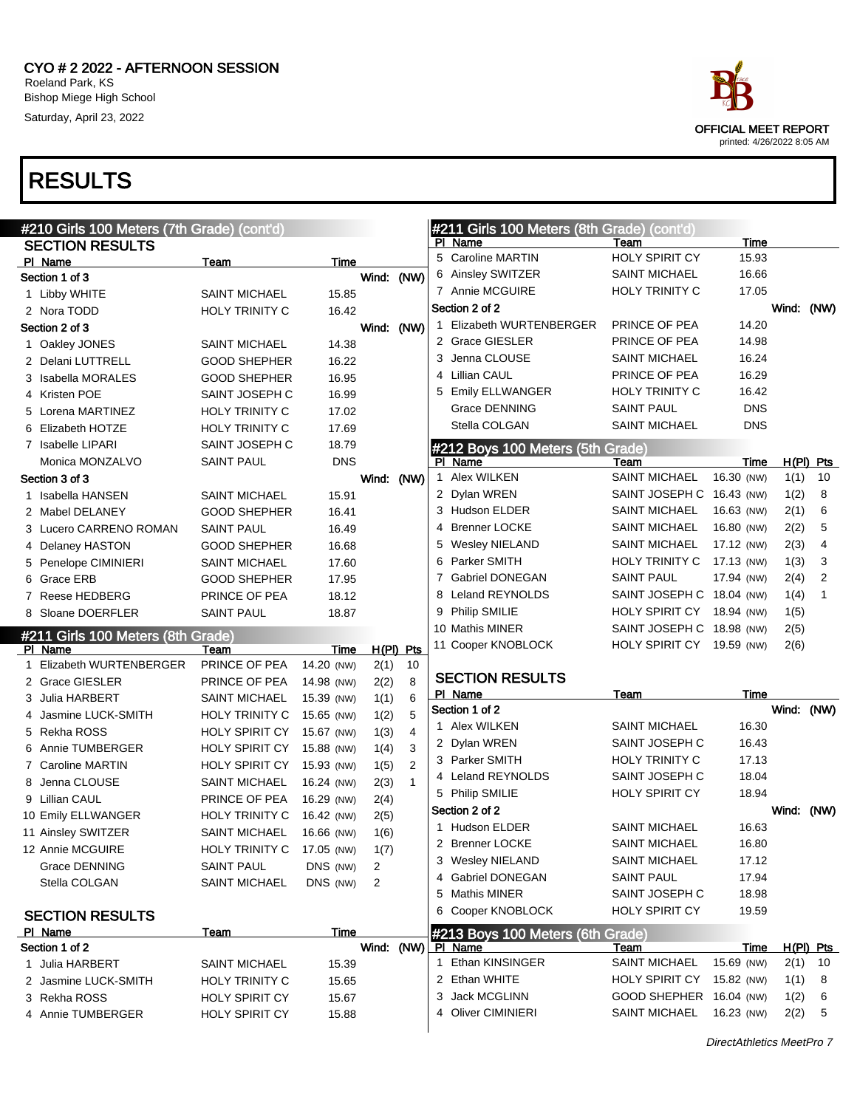



|   | #210 Girls 100 Meters (7th Grade) (cont'd) |                                                |                |             |                | #211 Girls 100 Meters (8th Grade) (cont'd) |                                             |                          |              |                  |
|---|--------------------------------------------|------------------------------------------------|----------------|-------------|----------------|--------------------------------------------|---------------------------------------------|--------------------------|--------------|------------------|
|   | <b>SECTION RESULTS</b>                     |                                                |                |             |                | PI Name                                    | Team                                        | Time                     |              |                  |
|   | PI Name                                    | Team                                           | Time           |             |                | 5 Caroline MARTIN                          | <b>HOLY SPIRIT CY</b>                       | 15.93                    |              |                  |
|   | Section 1 of 3                             |                                                |                | Wind: (NW)  |                | 6 Ainsley SWITZER                          | <b>SAINT MICHAEL</b>                        | 16.66                    |              |                  |
|   | 1 Libby WHITE                              | <b>SAINT MICHAEL</b>                           | 15.85          |             |                | 7 Annie MCGUIRE                            | <b>HOLY TRINITY C</b>                       | 17.05                    |              |                  |
|   | 2 Nora TODD                                | <b>HOLY TRINITY C</b>                          | 16.42          |             |                | Section 2 of 2                             |                                             |                          | Wind: (NW)   |                  |
|   | Section 2 of 3                             |                                                |                | Wind: (NW)  |                | 1 Elizabeth WURTENBERGER                   | PRINCE OF PEA                               | 14.20                    |              |                  |
|   | 1 Oakley JONES                             | SAINT MICHAEL                                  | 14.38          |             |                | 2 Grace GIESLER                            | PRINCE OF PEA                               | 14.98                    |              |                  |
|   | 2 Delani LUTTRELL                          | <b>GOOD SHEPHER</b>                            | 16.22          |             |                | 3 Jenna CLOUSE                             | <b>SAINT MICHAEL</b>                        | 16.24                    |              |                  |
|   | 3 Isabella MORALES                         | <b>GOOD SHEPHER</b>                            | 16.95          |             |                | 4 Lillian CAUL                             | PRINCE OF PEA                               | 16.29                    |              |                  |
|   | 4 Kristen POE                              | SAINT JOSEPH C                                 | 16.99          |             |                | 5 Emily ELLWANGER                          | HOLY TRINITY C                              | 16.42                    |              |                  |
|   | 5 Lorena MARTINEZ                          | <b>HOLY TRINITY C</b>                          | 17.02          |             |                | <b>Grace DENNING</b>                       | <b>SAINT PAUL</b>                           | <b>DNS</b>               |              |                  |
|   | 6 Elizabeth HOTZE                          | <b>HOLY TRINITY C</b>                          | 17.69          |             |                | Stella COLGAN                              | <b>SAINT MICHAEL</b>                        | <b>DNS</b>               |              |                  |
|   | 7 Isabelle LIPARI                          | SAINT JOSEPH C                                 | 18.79          |             |                | #212 Boys 100 Meters (5th Grade)           |                                             |                          |              |                  |
|   | Monica MONZALVO                            | SAINT PAUL                                     | <b>DNS</b>     |             |                | PI Name                                    | Team                                        | Time                     |              | $H(PI)$ Pts      |
|   | Section 3 of 3                             |                                                |                | Wind: (NW)  |                | 1 Alex WILKEN                              | <b>SAINT MICHAEL</b>                        | 16.30 (NW)               | 1(1)         | 10               |
|   | 1 Isabella HANSEN                          | <b>SAINT MICHAEL</b>                           | 15.91          |             |                | 2 Dylan WREN                               | SAINT JOSEPH C 16.43 (NW)                   |                          | 1(2)         | 8                |
|   | 2 Mabel DELANEY                            | <b>GOOD SHEPHER</b>                            | 16.41          |             |                | 3 Hudson ELDER                             | <b>SAINT MICHAEL</b>                        | 16.63 (NW)               | 2(1)         | 6                |
|   | 3 Lucero CARRENO ROMAN                     | SAINT PAUL                                     | 16.49          |             |                | 4 Brenner LOCKE                            | <b>SAINT MICHAEL</b>                        | 16.80 (NW)               | 2(2)         | 5                |
|   | 4 Delaney HASTON                           | <b>GOOD SHEPHER</b>                            | 16.68          |             |                | 5 Wesley NIELAND                           | <b>SAINT MICHAEL</b>                        | 17.12 (NW)               | 2(3)         | $\overline{4}$   |
|   | 5 Penelope CIMINIERI                       | <b>SAINT MICHAEL</b>                           | 17.60          |             |                | 6 Parker SMITH                             | <b>HOLY TRINITY C</b>                       | 17.13 (NW)               | 1(3)         | 3                |
|   | 6 Grace ERB                                | <b>GOOD SHEPHER</b>                            | 17.95          |             |                | 7 Gabriel DONEGAN                          | <b>SAINT PAUL</b>                           | 17.94 (NW)               | 2(4)         | 2                |
|   | 7 Reese HEDBERG                            | PRINCE OF PEA                                  | 18.12          |             |                | Leland REYNOLDS                            | SAINT JOSEPH C 18.04 (NW)                   |                          | 1(4)         | $\mathbf{1}$     |
|   | 8 Sloane DOERFLER                          | <b>SAINT PAUL</b>                              | 18.87          |             |                | 9 Philip SMILIE                            | HOLY SPIRIT CY 18.94 (NW)                   |                          | 1(5)         |                  |
|   |                                            |                                                |                |             |                | 10 Mathis MINER                            | SAINT JOSEPH C 18.98 (NW)                   |                          | 2(5)         |                  |
|   |                                            |                                                |                |             |                |                                            |                                             |                          |              |                  |
|   | #211 Girls 100 Meters (8th Grade)          |                                                |                |             |                |                                            |                                             |                          |              |                  |
|   | PI Name                                    | Team                                           | Time           | $H(PI)$ Pts |                | 11 Cooper KNOBLOCK                         | HOLY SPIRIT CY 19.59 (NW)                   |                          | 2(6)         |                  |
| 1 | Elizabeth WURTENBERGER                     | PRINCE OF PEA                                  | 14.20 (NW)     | 2(1)        | 10             |                                            |                                             |                          |              |                  |
|   | 2 Grace GIESLER                            | PRINCE OF PEA                                  | 14.98 (NW)     | 2(2)        | 8              | <b>SECTION RESULTS</b><br>PI Name          | Team                                        | Time                     |              |                  |
|   | 3 Julia HARBERT                            | SAINT MICHAEL                                  | 15.39 (NW)     | 1(1)        | 6              | Section 1 of 2                             |                                             |                          | Wind: (NW)   |                  |
|   | 4 Jasmine LUCK-SMITH                       | HOLY TRINITY C                                 | 15.65 (NW)     | 1(2)        | 5              | 1 Alex WILKEN                              | <b>SAINT MICHAEL</b>                        | 16.30                    |              |                  |
|   | 5 Rekha ROSS                               | HOLY SPIRIT CY                                 | 15.67 (NW)     | 1(3)        | $\overline{4}$ | 2 Dylan WREN                               | SAINT JOSEPH C                              | 16.43                    |              |                  |
|   | 6 Annie TUMBERGER                          | HOLY SPIRIT CY                                 | 15.88 (NW)     | 1(4)        | 3              | 3 Parker SMITH                             | <b>HOLY TRINITY C</b>                       | 17.13                    |              |                  |
|   | 7 Caroline MARTIN                          | HOLY SPIRIT CY                                 | 15.93 (NW)     | 1(5)        | 2              | 4 Leland REYNOLDS                          | SAINT JOSEPH C                              | 18.04                    |              |                  |
|   | 8 Jenna CLOUSE                             | <b>SAINT MICHAEL</b>                           | 16.24 (NW)     | 2(3)        | $\mathbf{1}$   | 5 Philip SMILIE                            | <b>HOLY SPIRIT CY</b>                       | 18.94                    |              |                  |
|   | 9 Lillian CAUL                             | PRINCE OF PEA                                  | 16.29 (NW)     | 2(4)        |                | Section 2 of 2                             |                                             |                          | Wind: (NW)   |                  |
|   | 10 Emily ELLWANGER                         | HOLY TRINITY C                                 | 16.42 (NW)     | 2(5)        |                | 1 Hudson ELDER                             | <b>SAINT MICHAEL</b>                        | 16.63                    |              |                  |
|   | 11 Ainsley SWITZER                         | <b>SAINT MICHAEL</b>                           | 16.66 (NW)     | 1(6)        |                | 2 Brenner LOCKE                            | <b>SAINT MICHAEL</b>                        | 16.80                    |              |                  |
|   | 12 Annie MCGUIRE                           | HOLY TRINITY C                                 | 17.05 (NW)     | 1(7)        |                | 3 Wesley NIELAND                           | <b>SAINT MICHAEL</b>                        | 17.12                    |              |                  |
|   | <b>Grace DENNING</b>                       | <b>SAINT PAUL</b>                              | DNS (NW)       | 2           |                | 4 Gabriel DONEGAN                          | SAINT PAUL                                  | 17.94                    |              |                  |
|   | Stella COLGAN                              | SAINT MICHAEL                                  | DNS (NW)       | 2           |                | 5 Mathis MINER                             | SAINT JOSEPH C                              | 18.98                    |              |                  |
|   |                                            |                                                |                |             |                | 6 Cooper KNOBLOCK                          | <b>HOLY SPIRIT CY</b>                       | 19.59                    |              |                  |
|   | <b>SECTION RESULTS</b>                     |                                                |                |             |                |                                            |                                             |                          |              |                  |
|   | PI Name                                    | Team                                           | Time           |             |                | #213 Boys 100 Meters (6th Grade)           |                                             |                          |              |                  |
|   | Section 1 of 2                             |                                                |                | Wind:       | (NW)           | PI Name<br>1 Ethan KINSINGER               | Team<br><b>SAINT MICHAEL</b>                | <b>Time</b>              |              | <u>H(PI) Pts</u> |
|   | 1 Julia HARBERT                            | SAINT MICHAEL                                  | 15.39          |             |                |                                            |                                             | 15.69 (NW)               | 2(1)         | 10               |
|   | 2 Jasmine LUCK-SMITH                       | <b>HOLY TRINITY C</b>                          | 15.65          |             |                | 2 Ethan WHITE                              | <b>HOLY SPIRIT CY</b>                       | 15.82 (NW)               | 1(1)         | 8                |
|   | 3 Rekha ROSS<br>4 Annie TUMBERGER          | <b>HOLY SPIRIT CY</b><br><b>HOLY SPIRIT CY</b> | 15.67<br>15.88 |             |                | Jack MCGLINN<br>3<br>4 Oliver CIMINIERI    | <b>GOOD SHEPHER</b><br><b>SAINT MICHAEL</b> | 16.04 (NW)<br>16.23 (NW) | 1(2)<br>2(2) | 6<br>5           |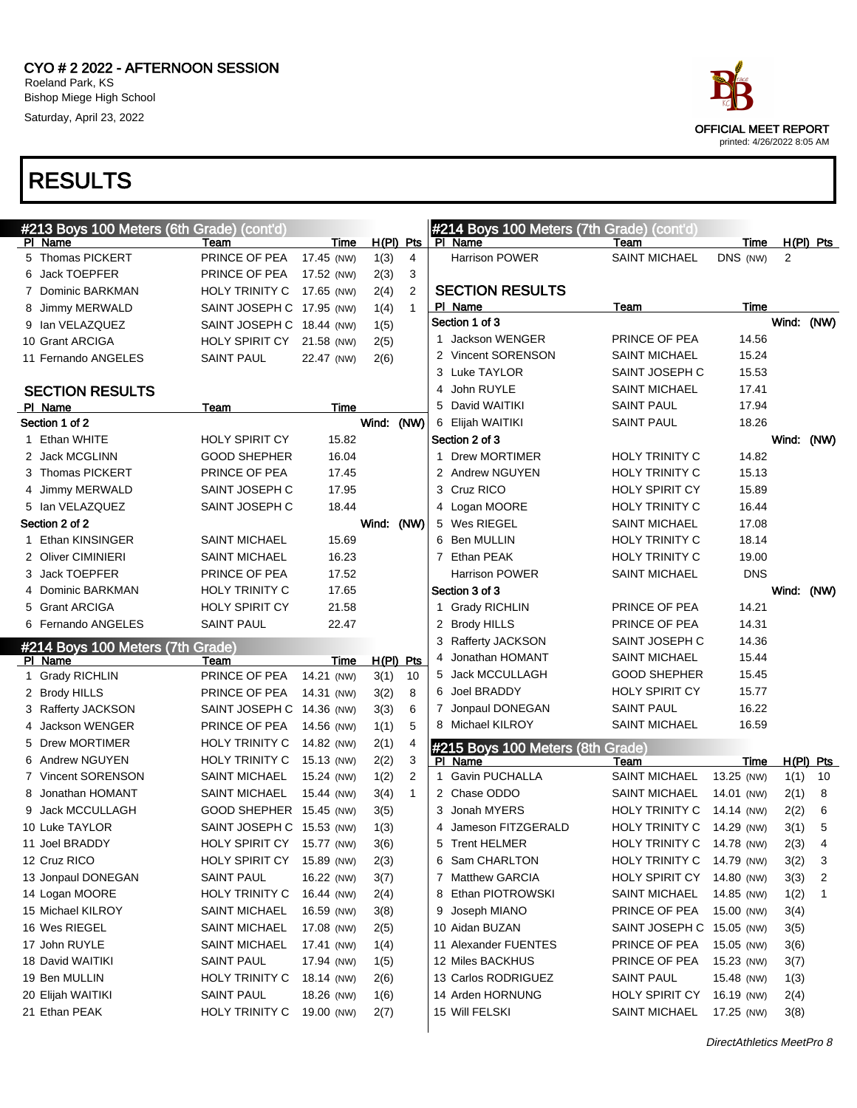

| #213 Boys 100 Meters (6th Grade) (cont'd) |                           |             |             |                |   | #214 Boys 100 Meters (7th Grade) (cont'd) |                           |             |                |                |
|-------------------------------------------|---------------------------|-------------|-------------|----------------|---|-------------------------------------------|---------------------------|-------------|----------------|----------------|
| PI Name                                   | Team                      | <b>Time</b> | $H(PI)$ Pts |                |   | PI Name                                   | Team                      | <b>Time</b> |                | $H(PI)$ Pts    |
| 5 Thomas PICKERT                          | PRINCE OF PEA             | 17.45 (NW)  | 1(3)        | 4              |   | <b>Harrison POWER</b>                     | <b>SAINT MICHAEL</b>      | DNS (NW)    | $\overline{2}$ |                |
| 6 Jack TOEPFER                            | PRINCE OF PEA             | 17.52 (NW)  | 2(3)        | 3              |   |                                           |                           |             |                |                |
| 7 Dominic BARKMAN                         | HOLY TRINITY C            | 17.65 (NW)  | 2(4)        | 2              |   | <b>SECTION RESULTS</b>                    |                           |             |                |                |
| 8 Jimmy MERWALD                           | SAINT JOSEPH C 17.95 (NW) |             | 1(4)        | $\mathbf{1}$   |   | PI Name<br>Section 1 of 3                 | Team                      | Time        |                |                |
| 9 Ian VELAZQUEZ                           | SAINT JOSEPH C 18.44 (NW) |             | 1(5)        |                |   | 1 Jackson WENGER                          | PRINCE OF PEA             | 14.56       | Wind: (NW)     |                |
| 10 Grant ARCIGA                           | <b>HOLY SPIRIT CY</b>     | 21.58 (NW)  | 2(5)        |                |   | 2 Vincent SORENSON                        | <b>SAINT MICHAEL</b>      | 15.24       |                |                |
| 11 Fernando ANGELES                       | <b>SAINT PAUL</b>         | 22.47 (NW)  | 2(6)        |                |   | 3 Luke TAYLOR                             | SAINT JOSEPH C            | 15.53       |                |                |
|                                           |                           |             |             |                |   | 4 John RUYLE                              | <b>SAINT MICHAEL</b>      | 17.41       |                |                |
| <b>SECTION RESULTS</b>                    |                           |             |             |                |   | 5 David WAITIKI                           | <b>SAINT PAUL</b>         | 17.94       |                |                |
| PI Name<br>Section 1 of 2                 | Team                      | Time        |             |                |   |                                           | <b>SAINT PAUL</b>         | 18.26       |                |                |
|                                           | <b>HOLY SPIRIT CY</b>     |             | Wind: (NW)  |                |   | 6 Elijah WAITIKI                          |                           |             |                |                |
| 1 Ethan WHITE                             | <b>GOOD SHEPHER</b>       | 15.82       |             |                |   | Section 2 of 3<br>1 Drew MORTIMER         | <b>HOLY TRINITY C</b>     | 14.82       | Wind: (NW)     |                |
| 2 Jack MCGLINN                            |                           | 16.04       |             |                |   |                                           |                           |             |                |                |
| 3 Thomas PICKERT                          | PRINCE OF PEA             | 17.45       |             |                |   | 2 Andrew NGUYEN                           | <b>HOLY TRINITY C</b>     | 15.13       |                |                |
| 4 Jimmy MERWALD                           | SAINT JOSEPH C            | 17.95       |             |                |   | 3 Cruz RICO                               | <b>HOLY SPIRIT CY</b>     | 15.89       |                |                |
| 5 Ian VELAZQUEZ                           | SAINT JOSEPH C            | 18.44       |             |                |   | 4 Logan MOORE                             | <b>HOLY TRINITY C</b>     | 16.44       |                |                |
| Section 2 of 2                            |                           |             | Wind: (NW)  |                |   | 5 Wes RIEGEL                              | <b>SAINT MICHAEL</b>      | 17.08       |                |                |
| 1 Ethan KINSINGER                         | <b>SAINT MICHAEL</b>      | 15.69       |             |                |   | 6 Ben MULLIN                              | <b>HOLY TRINITY C</b>     | 18.14       |                |                |
| 2 Oliver CIMINIERI                        | <b>SAINT MICHAEL</b>      | 16.23       |             |                |   | 7 Ethan PEAK                              | HOLY TRINITY C            | 19.00       |                |                |
| 3 Jack TOEPFER                            | PRINCE OF PEA             | 17.52       |             |                |   | <b>Harrison POWER</b>                     | <b>SAINT MICHAEL</b>      | <b>DNS</b>  |                |                |
| 4 Dominic BARKMAN                         | <b>HOLY TRINITY C</b>     | 17.65       |             |                |   | Section 3 of 3                            |                           |             | Wind: (NW)     |                |
| 5 Grant ARCIGA                            | <b>HOLY SPIRIT CY</b>     | 21.58       |             |                |   | 1 Grady RICHLIN                           | PRINCE OF PEA             | 14.21       |                |                |
| 6 Fernando ANGELES                        | <b>SAINT PAUL</b>         | 22.47       |             |                |   | 2 Brody HILLS                             | PRINCE OF PEA             | 14.31       |                |                |
| #214 Boys 100 Meters (7th Grade)          |                           |             |             |                |   | 3 Rafferty JACKSON                        | SAINT JOSEPH C            | 14.36       |                |                |
| PI Name                                   | Team                      | <b>Time</b> | $H(PI)$ Pts |                |   | 4 Jonathan HOMANT                         | <b>SAINT MICHAEL</b>      | 15.44       |                |                |
| 1 Grady RICHLIN                           | PRINCE OF PEA             | 14.21 (NW)  | 3(1)        | 10             |   | 5 Jack MCCULLAGH                          | <b>GOOD SHEPHER</b>       | 15.45       |                |                |
| 2 Brody HILLS                             | PRINCE OF PEA             | 14.31 (NW)  | 3(2)        | 8              |   | 6 Joel BRADDY                             | <b>HOLY SPIRIT CY</b>     | 15.77       |                |                |
|                                           |                           |             |             |                |   |                                           |                           |             |                |                |
| 3 Rafferty JACKSON                        | SAINT JOSEPH C 14.36 (NW) |             | 3(3)        | 6              |   | 7 Jonpaul DONEGAN                         | <b>SAINT PAUL</b>         | 16.22       |                |                |
| 4 Jackson WENGER                          | PRINCE OF PEA             | 14.56 (NW)  | 1(1)        | 5              |   | 8 Michael KILROY                          | <b>SAINT MICHAEL</b>      | 16.59       |                |                |
| 5 Drew MORTIMER                           | HOLY TRINITY C            | 14.82 (NW)  | 2(1)        | 4              |   | #215 Boys 100 Meters (8th Grade)          |                           |             |                |                |
| 6 Andrew NGUYEN                           | HOLY TRINITY C            | 15.13 (NW)  | 2(2)        | 3              |   | PI Name                                   | Team                      | <u>Time</u> |                | $H(PI)$ Pts    |
| 7 Vincent SORENSON                        | <b>SAINT MICHAEL</b>      | 15.24 (NW)  | 1(2)        | $\overline{2}$ |   | 1 Gavin PUCHALLA                          | <b>SAINT MICHAEL</b>      | 13.25 (NW)  | 1(1)           | 10             |
| 8 Jonathan HOMANT                         | <b>SAINT MICHAEL</b>      | 15.44 (NW)  | 3(4)        | $\mathbf{1}$   |   | 2 Chase ODDO                              | <b>SAINT MICHAEL</b>      | 14.01 (NW)  | 2(1)           | 8              |
| 9 Jack MCCULLAGH                          | GOOD SHEPHER 15.45 (NW)   |             | 3(5)        |                |   | 3 Jonah MYERS                             | HOLY TRINITY C            | 14.14 (NW)  | 2(2)           | 6              |
| 10 Luke TAYLOR                            | SAINT JOSEPH C 15.53 (NW) |             | 1(3)        |                |   | Jameson FITZGERALD                        | HOLY TRINITY C            | 14.29 (NW)  | 3(1)           | 5              |
| 11 Joel BRADDY                            | HOLY SPIRIT CY 15.77 (NW) |             | 3(6)        |                | 5 | <b>Trent HELMER</b>                       | HOLY TRINITY C            | 14.78 (NW)  | 2(3)           | $\overline{4}$ |
| 12 Cruz RICO                              | HOLY SPIRIT CY 15.89 (NW) |             | 2(3)        |                |   | 6 Sam CHARLTON                            | HOLY TRINITY C            | 14.79 (NW)  | 3(2)           | 3              |
| 13 Jonpaul DONEGAN                        | <b>SAINT PAUL</b>         | 16.22 (NW)  | 3(7)        |                |   | 7 Matthew GARCIA                          | <b>HOLY SPIRIT CY</b>     | 14.80 (NW)  | 3(3)           | 2              |
| 14 Logan MOORE                            | HOLY TRINITY C            | 16.44 (NW)  | 2(4)        |                |   | 8 Ethan PIOTROWSKI                        | <b>SAINT MICHAEL</b>      | 14.85 (NW)  | 1(2)           | 1              |
| 15 Michael KILROY                         | <b>SAINT MICHAEL</b>      | 16.59 (NW)  | 3(8)        |                |   | 9 Joseph MIANO                            | PRINCE OF PEA             | 15.00 (NW)  | 3(4)           |                |
| 16 Wes RIEGEL                             | <b>SAINT MICHAEL</b>      | 17.08 (NW)  | 2(5)        |                |   | 10 Aidan BUZAN                            | SAINT JOSEPH C 15.05 (NW) |             | 3(5)           |                |
| 17 John RUYLE                             | <b>SAINT MICHAEL</b>      | 17.41 (NW)  | 1(4)        |                |   | 11 Alexander FUENTES                      | PRINCE OF PEA             | 15.05 (NW)  | 3(6)           |                |
| 18 David WAITIKI                          | <b>SAINT PAUL</b>         | 17.94 (NW)  | 1(5)        |                |   | 12 Miles BACKHUS                          | PRINCE OF PEA             | 15.23 (NW)  | 3(7)           |                |
| 19 Ben MULLIN                             | HOLY TRINITY C            | 18.14 (NW)  | 2(6)        |                |   | 13 Carlos RODRIGUEZ                       | <b>SAINT PAUL</b>         | 15.48 (NW)  | 1(3)           |                |
| 20 Elijah WAITIKI                         | <b>SAINT PAUL</b>         | 18.26 (NW)  | 1(6)        |                |   | 14 Arden HORNUNG                          | HOLY SPIRIT CY            | 16.19 (NW)  | 2(4)           |                |
| 21 Ethan PEAK                             | HOLY TRINITY C            | 19.00 (NW)  | 2(7)        |                |   | 15 Will FELSKI                            | <b>SAINT MICHAEL</b>      | 17.25 (NW)  | 3(8)           |                |

 $\overline{\mathbf{u}}$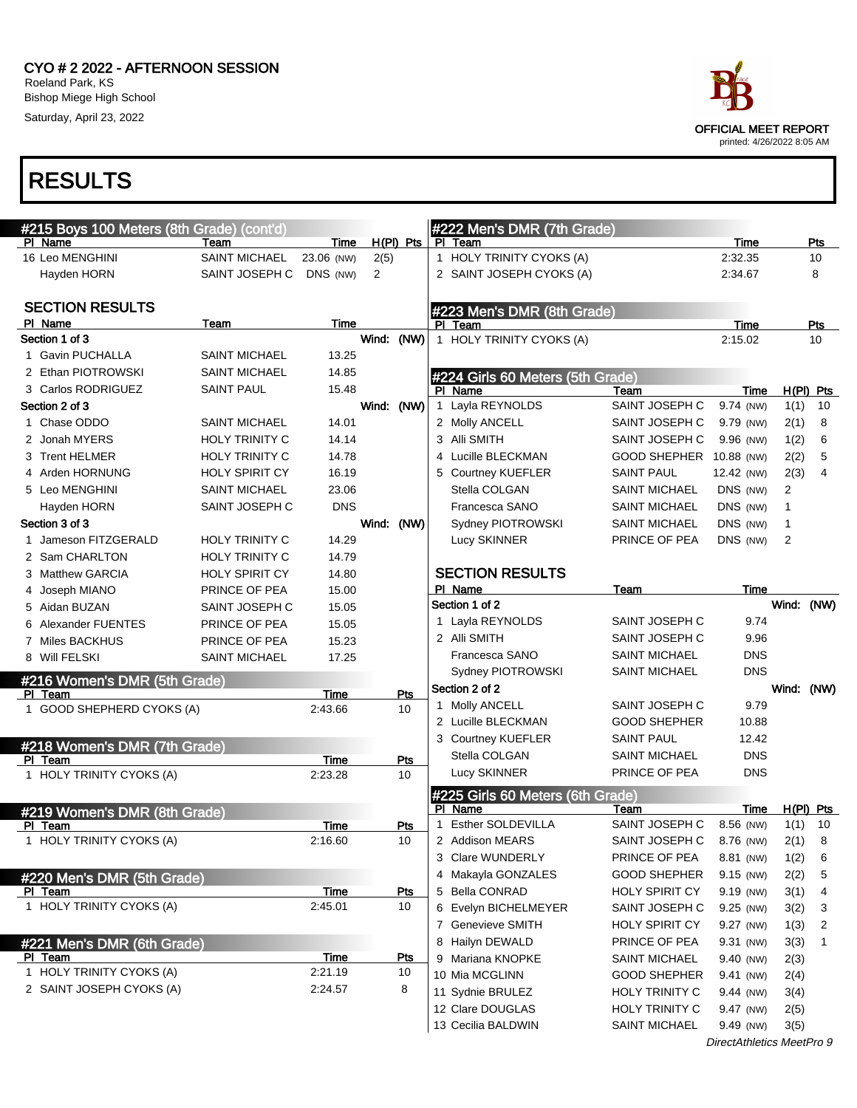

| #215 Boys 100 Meters (8th Grade) (cont'd) |                       |             |                |            |              | #222 Men's DMR (7th Grade)       |                          |             |              |     |
|-------------------------------------------|-----------------------|-------------|----------------|------------|--------------|----------------------------------|--------------------------|-------------|--------------|-----|
| PI Name                                   | Team                  | Time        |                | H(PI) Pts  |              | PI Team                          |                          | Time        |              | Pts |
| 16 Leo MENGHINI                           | <b>SAINT MICHAEL</b>  | 23.06 (NW)  | 2(5)           |            |              | 1 HOLY TRINITY CYOKS (A)         |                          | 2:32.35     |              | 10  |
| Hayden HORN                               | SAINT JOSEPH C        | DNS (NW)    | $\overline{2}$ |            |              | 2 SAINT JOSEPH CYOKS (A)         |                          | 2:34.67     |              | 8   |
| <b>SECTION RESULTS</b>                    |                       |             |                |            |              | #223 Men's DMR (8th Grade)       |                          |             |              |     |
| PI Name                                   | Team                  | Time        |                |            |              | PI Team                          |                          | Time        |              | Pts |
| Section 1 of 3                            |                       |             | Wind: (NW)     |            |              | 1 HOLY TRINITY CYOKS (A)         |                          | 2:15.02     |              | 10  |
| 1 Gavin PUCHALLA                          | <b>SAINT MICHAEL</b>  | 13.25       |                |            |              |                                  |                          |             |              |     |
| 2 Ethan PIOTROWSKI                        | <b>SAINT MICHAEL</b>  | 14.85       |                |            |              | #224 Girls 60 Meters (5th Grade) |                          |             |              |     |
| 3 Carlos RODRIGUEZ                        | <b>SAINT PAUL</b>     | 15.48       |                |            |              | PI Name                          | Team                     | Time        | $H(PI)$ Pts  |     |
| Section 2 of 3                            |                       |             | Wind: (NW)     |            | 1            | Layla REYNOLDS                   | SAINT JOSEPH C           | 9.74 (NW)   | 1(1)         | 10  |
| 1 Chase ODDO                              | <b>SAINT MICHAEL</b>  | 14.01       |                |            |              | 2 Molly ANCELL                   | SAINT JOSEPH C           | 9.79 (NW)   | 2(1)         | 8   |
| 2 Jonah MYERS                             | <b>HOLY TRINITY C</b> | 14.14       |                |            |              | 3 Alli SMITH                     | SAINT JOSEPH C           | 9.96 (NW)   | 1(2)         | 6   |
| 3 Trent HELMER                            | <b>HOLY TRINITY C</b> | 14.78       |                |            |              | 4 Lucille BLECKMAN               | GOOD SHEPHER 10.88 (NW)  |             | 2(2)         | 5   |
| 4 Arden HORNUNG                           | <b>HOLY SPIRIT CY</b> | 16.19       |                |            |              | <b>Courtney KUEFLER</b>          | <b>SAINT PAUL</b>        | 12.42 (NW)  | 2(3)         | 4   |
| 5 Leo MENGHINI                            | <b>SAINT MICHAEL</b>  | 23.06       |                |            |              | Stella COLGAN                    | <b>SAINT MICHAEL</b>     | DNS (NW)    | 2            |     |
| Hayden HORN                               | SAINT JOSEPH C        | <b>DNS</b>  |                |            |              | Francesca SANO                   | <b>SAINT MICHAEL</b>     | DNS (NW)    | $\mathbf{1}$ |     |
| Section 3 of 3                            |                       |             | Wind: (NW)     |            |              | Sydney PIOTROWSKI                | <b>SAINT MICHAEL</b>     | DNS (NW)    | 1            |     |
| 1 Jameson FITZGERALD                      | <b>HOLY TRINITY C</b> | 14.29       |                |            |              | Lucy SKINNER                     | PRINCE OF PEA            | DNS (NW)    | 2            |     |
| 2 Sam CHARLTON                            | <b>HOLY TRINITY C</b> | 14.79       |                |            |              |                                  |                          |             |              |     |
| 3 Matthew GARCIA                          | <b>HOLY SPIRIT CY</b> | 14.80       |                |            |              | <b>SECTION RESULTS</b>           |                          |             |              |     |
| 4 Joseph MIANO                            | PRINCE OF PEA         | 15.00       |                |            |              | PI Name                          | Team                     | <b>Time</b> |              |     |
| 5 Aidan BUZAN                             | SAINT JOSEPH C        | 15.05       |                |            |              | Section 1 of 2                   |                          |             | Wind: (NW)   |     |
| 6 Alexander FUENTES                       | PRINCE OF PEA         | 15.05       |                |            |              | 1 Layla REYNOLDS                 | SAINT JOSEPH C           | 9.74        |              |     |
| 7 Miles BACKHUS                           | PRINCE OF PEA         | 15.23       |                |            |              | 2 Alli SMITH                     | SAINT JOSEPH C           | 9.96        |              |     |
| 8 Will FELSKI                             | <b>SAINT MICHAEL</b>  | 17.25       |                |            |              | Francesca SANO                   | <b>SAINT MICHAEL</b>     | <b>DNS</b>  |              |     |
| #216 Women's DMR (5th Grade)              |                       |             |                |            |              | Sydney PIOTROWSKI                | <b>SAINT MICHAEL</b>     | <b>DNS</b>  |              |     |
| PI Team                                   |                       | <b>Time</b> |                | Pts        |              | Section 2 of 2                   |                          |             | Wind: (NW)   |     |
| 1 GOOD SHEPHERD CYOKS (A)                 |                       | 2:43.66     |                | 10         |              | 1 Molly ANCELL                   | SAINT JOSEPH C           | 9.79        |              |     |
|                                           |                       |             |                |            |              | 2 Lucille BLECKMAN               | <b>GOOD SHEPHER</b>      | 10.88       |              |     |
| #218 Women's DMR (7th Grade)              |                       |             |                |            |              | 3 Courtney KUEFLER               | <b>SAINT PAUL</b>        | 12.42       |              |     |
| PI Team                                   |                       | Time        |                | Pts        |              | Stella COLGAN                    | <b>SAINT MICHAEL</b>     | <b>DNS</b>  |              |     |
| 1 HOLY TRINITY CYOKS (A)                  |                       | 2:23.28     |                | 10         |              | Lucy SKINNER                     | PRINCE OF PEA            | <b>DNS</b>  |              |     |
|                                           |                       |             |                |            |              | #225 Girls 60 Meters (6th Grade) |                          |             |              |     |
| #219 Women's DMR (8th Grade)              |                       |             |                |            |              | PI Name                          | Team                     | Time        | $H(PI)$ Pts  |     |
| PI Team                                   |                       | Time        |                | Pts        | $\mathbf{1}$ | Esther SOLDEVILLA                | SAINT JOSEPH C           | 8.56 (NW)   | 1(1)         | 10  |
| 1 HOLY TRINITY CYOKS (A)                  |                       | 2:16.60     |                | 10         |              | 2 Addison MEARS                  | SAINT JOSEPH C 8.76 (NW) |             | 2(1)         | 8   |
|                                           |                       |             |                |            |              | 3 Clare WUNDERLY                 | PRINCE OF PEA            | 8.81 (NW)   | 1(2)         | 6   |
| #220 Men's DMR (5th Grade)                |                       |             |                |            |              | 4 Makayla GONZALES               | <b>GOOD SHEPHER</b>      | 9.15 (NW)   | 2(2)         | 5   |
| PI Team                                   |                       | Time        |                | <b>Pts</b> |              | 5 Bella CONRAD                   | HOLY SPIRIT CY           | 9.19 (NW)   | 3(1)         | 4   |
| 1 HOLY TRINITY CYOKS (A)                  |                       | 2:45.01     |                | 10         |              | 6 Evelyn BICHELMEYER             | SAINT JOSEPH C           | 9.25 (NW)   | 3(2)         | 3   |
|                                           |                       |             |                |            |              | 7 Genevieve SMITH                | <b>HOLY SPIRIT CY</b>    | 9.27 (NW)   | 1(3)         | 2   |
| #221 Men's DMR (6th Grade)                |                       |             |                |            |              | 8 Hailyn DEWALD                  | PRINCE OF PEA            | 9.31 (NW)   | 3(3)         | 1   |
| PI Team                                   |                       | <b>Time</b> |                | Pts        |              | 9 Mariana KNOPKE                 | <b>SAINT MICHAEL</b>     | 9.40 (NW)   | 2(3)         |     |
| 1 HOLY TRINITY CYOKS (A)                  |                       | 2:21.19     |                | 10         |              | 10 Mia MCGLINN                   | <b>GOOD SHEPHER</b>      | 9.41 (NW)   | 2(4)         |     |
| 2 SAINT JOSEPH CYOKS (A)                  |                       | 2:24.57     |                | 8          |              | 11 Sydnie BRULEZ                 | <b>HOLY TRINITY C</b>    | 9.44 (NW)   | 3(4)         |     |
|                                           |                       |             |                |            |              | 12 Clare DOUGLAS                 | HOLY TRINITY C           | 9.47 (NW)   | 2(5)         |     |
|                                           |                       |             |                |            |              | 13 Cecilia BALDWIN               | <b>SAINT MICHAEL</b>     | 9.49 (NW)   | 3(5)         |     |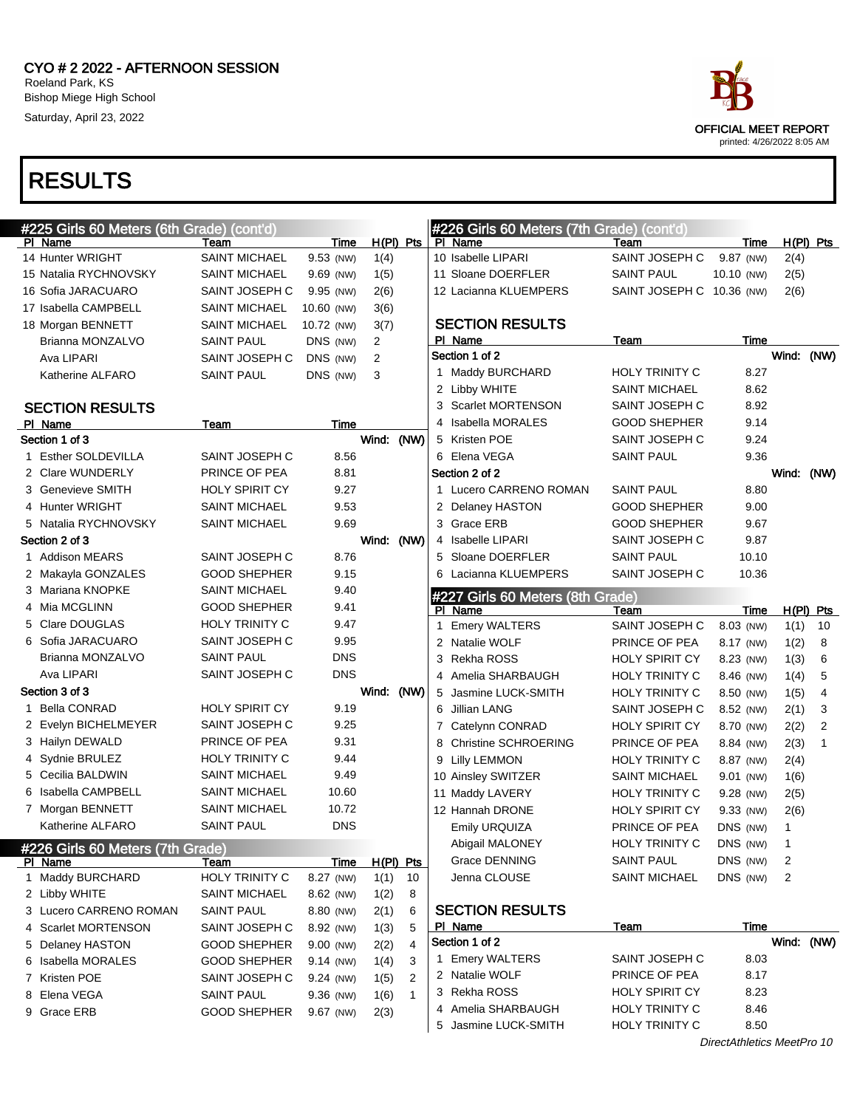

| #225 Girls 60 Meters (6th Grade) (cont'd) |                       |            |             |              |   | #226 Girls 60 Meters (7th Grade) (cont'd) |                           |                            |            |                |
|-------------------------------------------|-----------------------|------------|-------------|--------------|---|-------------------------------------------|---------------------------|----------------------------|------------|----------------|
| PI Name                                   | Team                  | Time       | $H(PI)$ Pts |              |   | PI Name                                   | Team                      | Time                       |            | $H(PI)$ Pts    |
| 14 Hunter WRIGHT                          | <b>SAINT MICHAEL</b>  | 9.53 (NW)  | 1(4)        |              |   | 10 Isabelle LIPARI                        | SAINT JOSEPH C            | 9.87 (NW)                  | 2(4)       |                |
| 15 Natalia RYCHNOVSKY                     | <b>SAINT MICHAEL</b>  | 9.69 (NW)  | 1(5)        |              |   | 11 Sloane DOERFLER                        | <b>SAINT PAUL</b>         | 10.10 (NW)                 | 2(5)       |                |
| 16 Sofia JARACUARO                        | SAINT JOSEPH C        | 9.95 (NW)  | 2(6)        |              |   | 12 Lacianna KLUEMPERS                     | SAINT JOSEPH C 10.36 (NW) |                            | 2(6)       |                |
| 17 Isabella CAMPBELL                      | <b>SAINT MICHAEL</b>  | 10.60 (NW) | 3(6)        |              |   |                                           |                           |                            |            |                |
| 18 Morgan BENNETT                         | <b>SAINT MICHAEL</b>  | 10.72 (NW) | 3(7)        |              |   | <b>SECTION RESULTS</b>                    |                           |                            |            |                |
| Brianna MONZALVO                          | <b>SAINT PAUL</b>     | DNS (NW)   | 2           |              |   | PI Name                                   | Team                      | Time                       |            |                |
| Ava LIPARI                                | SAINT JOSEPH C        | DNS (NW)   | 2           |              |   | Section 1 of 2                            |                           |                            | Wind: (NW) |                |
| Katherine ALFARO                          | SAINT PAUL            | DNS (NW)   | 3           |              |   | 1 Maddy BURCHARD                          | <b>HOLY TRINITY C</b>     | 8.27                       |            |                |
|                                           |                       |            |             |              |   | 2 Libby WHITE                             | <b>SAINT MICHAEL</b>      | 8.62                       |            |                |
| <b>SECTION RESULTS</b>                    |                       |            |             |              |   | 3 Scarlet MORTENSON                       | SAINT JOSEPH C            | 8.92                       |            |                |
| PI Name                                   | Team                  | Time       |             |              |   | 4 Isabella MORALES                        | <b>GOOD SHEPHER</b>       | 9.14                       |            |                |
| Section 1 of 3                            |                       |            | Wind: (NW)  |              |   | 5 Kristen POE                             | SAINT JOSEPH C            | 9.24                       |            |                |
| 1 Esther SOLDEVILLA                       | SAINT JOSEPH C        | 8.56       |             |              |   | 6 Elena VEGA                              | <b>SAINT PAUL</b>         | 9.36                       |            |                |
| 2 Clare WUNDERLY                          | PRINCE OF PEA         | 8.81       |             |              |   | Section 2 of 2                            |                           |                            | Wind: (NW) |                |
| 3 Genevieve SMITH                         | <b>HOLY SPIRIT CY</b> | 9.27       |             |              |   | 1 Lucero CARRENO ROMAN                    | <b>SAINT PAUL</b>         | 8.80                       |            |                |
| 4 Hunter WRIGHT                           | <b>SAINT MICHAEL</b>  | 9.53       |             |              |   | 2 Delaney HASTON                          | <b>GOOD SHEPHER</b>       | 9.00                       |            |                |
| 5 Natalia RYCHNOVSKY                      | <b>SAINT MICHAEL</b>  | 9.69       |             |              |   | 3 Grace ERB                               | <b>GOOD SHEPHER</b>       | 9.67                       |            |                |
| Section 2 of 3                            |                       |            | Wind: (NW)  |              |   | 4 Isabelle LIPARI                         | SAINT JOSEPH C            | 9.87                       |            |                |
| 1 Addison MEARS                           | SAINT JOSEPH C        | 8.76       |             |              |   | 5 Sloane DOERFLER                         | <b>SAINT PAUL</b>         | 10.10                      |            |                |
| 2 Makayla GONZALES                        | <b>GOOD SHEPHER</b>   | 9.15       |             |              |   | 6 Lacianna KLUEMPERS                      | SAINT JOSEPH C            | 10.36                      |            |                |
| 3 Mariana KNOPKE                          | <b>SAINT MICHAEL</b>  | 9.40       |             |              |   | #227 Girls 60 Meters (8th Grade)          |                           |                            |            |                |
| 4 Mia MCGLINN                             | <b>GOOD SHEPHER</b>   | 9.41       |             |              |   | PI Name                                   | Team                      | Time                       |            | $H(PI)$ Pts    |
| 5 Clare DOUGLAS                           | <b>HOLY TRINITY C</b> | 9.47       |             |              |   | 1 Emery WALTERS                           | SAINT JOSEPH C            | 8.03 (NW)                  | 1(1)       | 10             |
| 6 Sofia JARACUARO                         | SAINT JOSEPH C        | 9.95       |             |              | 2 | Natalie WOLF                              | PRINCE OF PEA             | 8.17 (NW)                  | 1(2)       | 8              |
| Brianna MONZALVO                          | <b>SAINT PAUL</b>     | <b>DNS</b> |             |              | 3 | Rekha ROSS                                | <b>HOLY SPIRIT CY</b>     | 8.23 (NW)                  | 1(3)       | 6              |
| Ava LIPARI                                | SAINT JOSEPH C        | <b>DNS</b> |             |              |   | 4 Amelia SHARBAUGH                        | <b>HOLY TRINITY C</b>     | 8.46 (NW)                  | 1(4)       | 5              |
| Section 3 of 3                            |                       |            | Wind: (NW)  |              | 5 | Jasmine LUCK-SMITH                        | <b>HOLY TRINITY C</b>     | 8.50 (NW)                  | 1(5)       | $\overline{4}$ |
| 1 Bella CONRAD                            | <b>HOLY SPIRIT CY</b> | 9.19       |             |              | 6 | Jillian LANG                              | SAINT JOSEPH C            | 8.52 (NW)                  | 2(1)       | 3              |
| 2 Evelyn BICHELMEYER                      | SAINT JOSEPH C        | 9.25       |             |              | 7 | Catelynn CONRAD                           | <b>HOLY SPIRIT CY</b>     | 8.70 (NW)                  | 2(2)       | $\overline{2}$ |
| 3 Hailyn DEWALD                           | PRINCE OF PEA         | 9.31       |             |              | 8 | <b>Christine SCHROERING</b>               | PRINCE OF PEA             | 8.84 (NW)                  | 2(3)       | $\mathbf{1}$   |
| 4 Sydnie BRULEZ                           | <b>HOLY TRINITY C</b> | 9.44       |             |              | 9 | <b>Lilly LEMMON</b>                       | <b>HOLY TRINITY C</b>     | 8.87 (NW)                  | 2(4)       |                |
| 5 Cecilia BALDWIN                         | <b>SAINT MICHAEL</b>  | 9.49       |             |              |   | 10 Ainsley SWITZER                        | <b>SAINT MICHAEL</b>      | $9.01$ (NW)                | 1(6)       |                |
| 6 Isabella CAMPBELL                       | <b>SAINT MICHAEL</b>  | 10.60      |             |              |   | 11 Maddy LAVERY                           | HOLY TRINITY C            | 9.28 (NW)                  | 2(5)       |                |
| 7 Morgan BENNETT                          | <b>SAINT MICHAEL</b>  | 10.72      |             |              |   | 12 Hannah DRONE                           | <b>HOLY SPIRIT CY</b>     | 9.33 (NW)                  | 2(6)       |                |
| Katherine ALFARO                          | <b>SAINT PAUL</b>     | <b>DNS</b> |             |              |   | Emily URQUIZA                             | PRINCE OF PEA             | DNS (NW)                   | 1          |                |
| #226 Girls 60 Meters (7th Grade)          |                       |            |             |              |   | Abigail MALONEY                           | HOLY TRINITY C            | DNS (NW)                   | 1          |                |
| PI Name                                   | Team                  | Time       | $H(PI)$ Pts |              |   | Grace DENNING                             | <b>SAINT PAUL</b>         | DNS (NW)                   | 2          |                |
| 1 Maddy BURCHARD                          | HOLY TRINITY C        | 8.27 (NW)  | 1(1)        | 10           |   | Jenna CLOUSE                              | <b>SAINT MICHAEL</b>      | DNS (NW)                   | 2          |                |
| 2 Libby WHITE                             | <b>SAINT MICHAEL</b>  | 8.62 (NW)  | 1(2)        | 8            |   |                                           |                           |                            |            |                |
| 3 Lucero CARRENO ROMAN                    | SAINT PAUL            | 8.80 (NW)  | 2(1)        | 6            |   | <b>SECTION RESULTS</b>                    |                           |                            |            |                |
| 4 Scarlet MORTENSON                       | SAINT JOSEPH C        | 8.92 (NW)  | 1(3)        | 5            |   | PI Name                                   | <u>Team</u>               | Time                       |            |                |
| 5 Delaney HASTON                          | <b>GOOD SHEPHER</b>   | 9.00 (NW)  | 2(2)        | 4            |   | Section 1 of 2                            |                           |                            | Wind: (NW) |                |
| 6 Isabella MORALES                        | <b>GOOD SHEPHER</b>   | 9.14 (NW)  | 1(4)        | 3            |   | 1 Emery WALTERS                           | SAINT JOSEPH C            | 8.03                       |            |                |
| 7 Kristen POE                             | SAINT JOSEPH C        | 9.24 (NW)  | 1(5)        | 2            |   | 2 Natalie WOLF                            | PRINCE OF PEA             | 8.17                       |            |                |
| 8 Elena VEGA                              | <b>SAINT PAUL</b>     | 9.36 (NW)  | 1(6)        | $\mathbf{1}$ |   | 3 Rekha ROSS                              | <b>HOLY SPIRIT CY</b>     | 8.23                       |            |                |
| 9 Grace ERB                               | <b>GOOD SHEPHER</b>   | 9.67 (NW)  | 2(3)        |              | 4 | Amelia SHARBAUGH                          | <b>HOLY TRINITY C</b>     | 8.46                       |            |                |
|                                           |                       |            |             |              | 5 | Jasmine LUCK-SMITH                        | HOLY TRINITY C            | 8.50                       |            |                |
|                                           |                       |            |             |              |   |                                           |                           | DirectAthletics MeetPro 10 |            |                |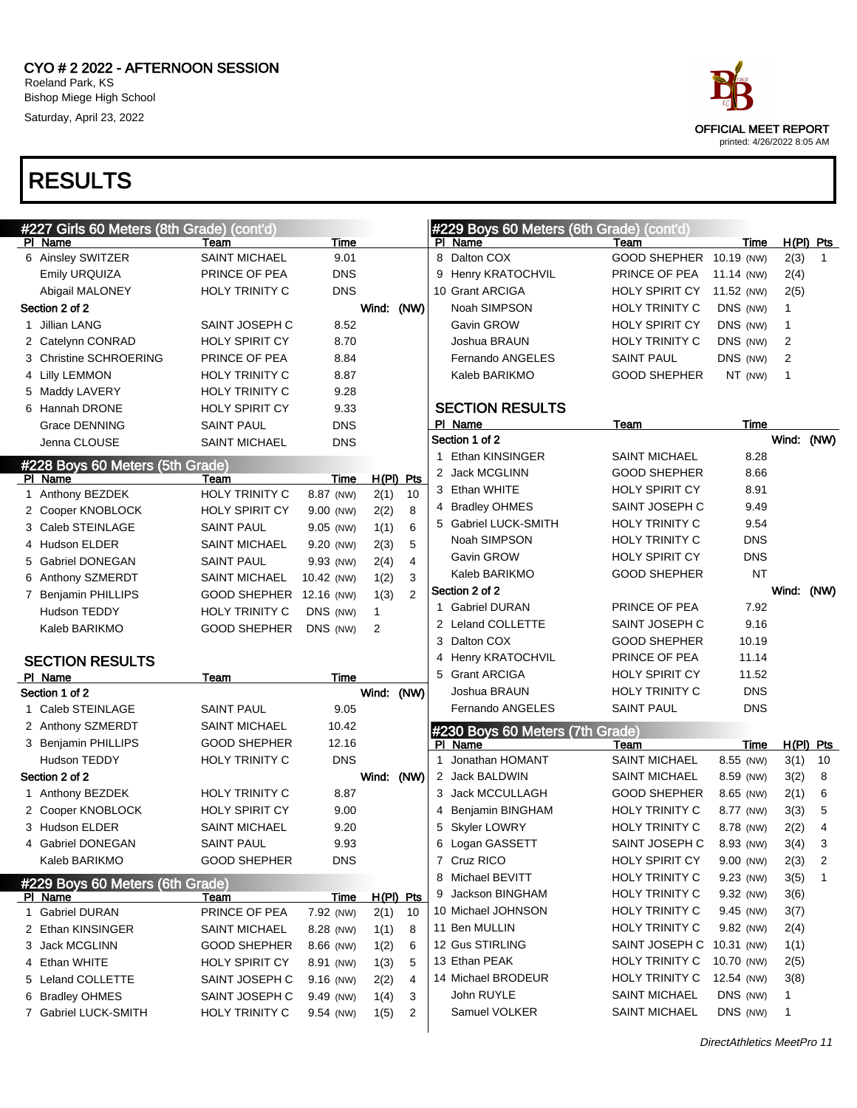

OFFICIAL MEET REPORT printed: 4/26/2022 8:05 AM

DirectAthletics MeetPro 11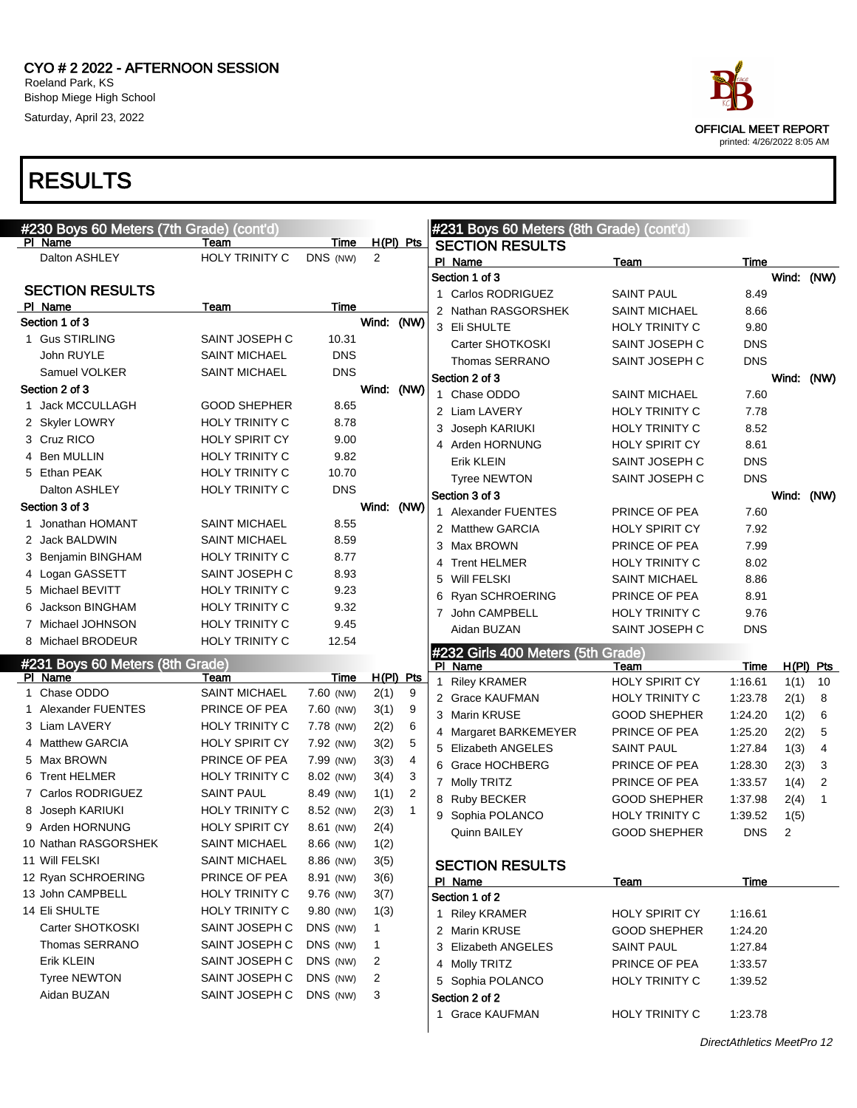



| #230 Boys 60 Meters (7th Grade) (cont'd) |                       |             |              |              |   | #231 Boys 60 Meters (8th Grade) (cont'd) |                       |            |            |              |
|------------------------------------------|-----------------------|-------------|--------------|--------------|---|------------------------------------------|-----------------------|------------|------------|--------------|
| PI Name                                  | Team                  | Time        |              | $H(PI)$ Pts  |   | <b>SECTION RESULTS</b>                   |                       |            |            |              |
| Dalton ASHLEY                            | <b>HOLY TRINITY C</b> | DNS (NW)    | 2            |              |   | PI Name                                  | Team                  | Time       |            |              |
|                                          |                       |             |              |              |   | Section 1 of 3                           |                       |            | Wind: (NW) |              |
| <b>SECTION RESULTS</b>                   |                       |             |              |              |   | 1 Carlos RODRIGUEZ                       | <b>SAINT PAUL</b>     | 8.49       |            |              |
| PI Name                                  | Team                  | Time        |              |              |   | 2 Nathan RASGORSHEK                      | <b>SAINT MICHAEL</b>  | 8.66       |            |              |
| Section 1 of 3                           |                       |             | Wind:        | (NW)         |   | 3 Eli SHULTE                             | <b>HOLY TRINITY C</b> | 9.80       |            |              |
| 1 Gus STIRLING                           | SAINT JOSEPH C        | 10.31       |              |              |   | Carter SHOTKOSKI                         | SAINT JOSEPH C        | <b>DNS</b> |            |              |
| John RUYLE                               | <b>SAINT MICHAEL</b>  | <b>DNS</b>  |              |              |   | Thomas SERRANO                           | SAINT JOSEPH C        | <b>DNS</b> |            |              |
| Samuel VOLKER                            | <b>SAINT MICHAEL</b>  | <b>DNS</b>  |              |              |   | Section 2 of 3                           |                       |            | Wind: (NW) |              |
| Section 2 of 3                           |                       |             |              | Wind: (NW)   |   | 1 Chase ODDO                             | <b>SAINT MICHAEL</b>  | 7.60       |            |              |
| 1 Jack MCCULLAGH                         | <b>GOOD SHEPHER</b>   | 8.65        |              |              |   | 2 Liam LAVERY                            | HOLY TRINITY C        | 7.78       |            |              |
| 2 Skyler LOWRY                           | <b>HOLY TRINITY C</b> | 8.78        |              |              | 3 | Joseph KARIUKI                           | HOLY TRINITY C        | 8.52       |            |              |
| 3 Cruz RICO                              | <b>HOLY SPIRIT CY</b> | 9.00        |              |              |   | 4 Arden HORNUNG                          | <b>HOLY SPIRIT CY</b> | 8.61       |            |              |
| 4 Ben MULLIN                             | <b>HOLY TRINITY C</b> | 9.82        |              |              |   | Erik KLEIN                               | SAINT JOSEPH C        | <b>DNS</b> |            |              |
| 5 Ethan PEAK                             | HOLY TRINITY C        | 10.70       |              |              |   | <b>Tyree NEWTON</b>                      | SAINT JOSEPH C        | <b>DNS</b> |            |              |
| Dalton ASHLEY                            | HOLY TRINITY C        | <b>DNS</b>  |              |              |   | Section 3 of 3                           |                       |            | Wind: (NW) |              |
| Section 3 of 3                           |                       |             |              | Wind: (NW)   |   | 1 Alexander FUENTES                      | PRINCE OF PEA         | 7.60       |            |              |
| 1 Jonathan HOMANT                        | <b>SAINT MICHAEL</b>  | 8.55        |              |              |   | 2 Matthew GARCIA                         | <b>HOLY SPIRIT CY</b> | 7.92       |            |              |
| 2 Jack BALDWIN                           | <b>SAINT MICHAEL</b>  | 8.59        |              |              |   | 3 Max BROWN                              | PRINCE OF PEA         | 7.99       |            |              |
| 3 Benjamin BINGHAM                       | <b>HOLY TRINITY C</b> | 8.77        |              |              |   | 4 Trent HELMER                           | <b>HOLY TRINITY C</b> | 8.02       |            |              |
| 4 Logan GASSETT                          | SAINT JOSEPH C        | 8.93        |              |              | 5 | <b>Will FELSKI</b>                       | <b>SAINT MICHAEL</b>  | 8.86       |            |              |
| 5 Michael BEVITT                         | <b>HOLY TRINITY C</b> | 9.23        |              |              |   | 6 Ryan SCHROERING                        | PRINCE OF PEA         | 8.91       |            |              |
| 6 Jackson BINGHAM                        | <b>HOLY TRINITY C</b> | 9.32        |              |              |   | 7 John CAMPBELL                          | <b>HOLY TRINITY C</b> | 9.76       |            |              |
| 7 Michael JOHNSON                        | <b>HOLY TRINITY C</b> | 9.45        |              |              |   | Aidan BUZAN                              | SAINT JOSEPH C        | <b>DNS</b> |            |              |
| 8 Michael BRODEUR                        | HOLY TRINITY C        | 12.54       |              |              |   | #232 Girls 400 Meters (5th Grade)        |                       |            |            |              |
| #231 Boys 60 Meters (8th Grade)          |                       |             |              |              |   | PI Name                                  | Team                  | Time       |            | $H(PI)$ Pts  |
| PI Name                                  | Team                  | <b>Time</b> |              | $H(PI)$ Pts  |   | 1 Riley KRAMER                           | <b>HOLY SPIRIT CY</b> | 1:16.61    | 1(1)       | 10           |
| 1 Chase ODDO                             | <b>SAINT MICHAEL</b>  | 7.60 (NW)   | 2(1)         | 9            |   | 2 Grace KAUFMAN                          | <b>HOLY TRINITY C</b> | 1:23.78    | 2(1)       | 8            |
| 1 Alexander FUENTES                      | PRINCE OF PEA         | 7.60 (NW)   | 3(1)         | 9            |   | 3 Marin KRUSE                            | <b>GOOD SHEPHER</b>   | 1:24.20    | 1(2)       | 6            |
| 3 Liam LAVERY                            | HOLY TRINITY C        | 7.78 (NW)   | 2(2)         | 6            |   | 4 Margaret BARKEMEYER                    | PRINCE OF PEA         | 1:25.20    | 2(2)       | 5            |
| 4 Matthew GARCIA                         | <b>HOLY SPIRIT CY</b> | 7.92 (NW)   | 3(2)         | 5            |   | 5 Elizabeth ANGELES                      | SAINT PAUL            | 1:27.84    | 1(3)       | 4            |
| 5 Max BROWN                              | PRINCE OF PEA         | 7.99 (NW)   | 3(3)         | 4            |   | 6 Grace HOCHBERG                         | PRINCE OF PEA         | 1:28.30    | 2(3)       | 3            |
| 6 Trent HELMER                           | <b>HOLY TRINITY C</b> | 8.02 (NW)   | 3(4)         | 3            |   | 7 Molly TRITZ                            | PRINCE OF PEA         | 1:33.57    | 1(4)       | 2            |
| 7 Carlos RODRIGUEZ                       | <b>SAINT PAUL</b>     | 8.49 (NW)   | 1(1)         | 2            |   | 8 Ruby BECKER                            | <b>GOOD SHEPHER</b>   | 1:37.98    | 2(4)       | $\mathbf{1}$ |
| 8 Joseph KARIUKI                         | HOLY TRINITY C        | 8.52 (NW)   | 2(3)         | $\mathbf{1}$ |   | 9 Sophia POLANCO                         | HOLY TRINITY C        | 1:39.52    | 1(5)       |              |
| 9 Arden HORNUNG                          | <b>HOLY SPIRIT CY</b> | 8.61 (NW)   | 2(4)         |              |   | Quinn BAILEY                             | <b>GOOD SHEPHER</b>   | <b>DNS</b> | 2          |              |
| 10 Nathan RASGORSHEK                     | <b>SAINT MICHAEL</b>  | 8.66 (NW)   | 1(2)         |              |   |                                          |                       |            |            |              |
| 11 Will FELSKI                           | <b>SAINT MICHAEL</b>  | 8.86 (NW)   | 3(5)         |              |   | <b>SECTION RESULTS</b>                   |                       |            |            |              |
| 12 Ryan SCHROERING                       | PRINCE OF PEA         | 8.91 (NW)   | 3(6)         |              |   | PI Name                                  | Team                  | Time       |            |              |
| 13 John CAMPBELL                         | <b>HOLY TRINITY C</b> | 9.76 (NW)   | 3(7)         |              |   | Section 1 of 2                           |                       |            |            |              |
| 14 Eli SHULTE                            | HOLY TRINITY C        | 9.80 (NW)   | 1(3)         |              |   | 1 Riley KRAMER                           | HOLY SPIRIT CY        | 1:16.61    |            |              |
| Carter SHOTKOSKI                         | SAINT JOSEPH C        | DNS (NW)    | 1            |              |   | 2 Marin KRUSE                            | <b>GOOD SHEPHER</b>   | 1:24.20    |            |              |
| Thomas SERRANO                           | SAINT JOSEPH C        | DNS (NW)    | $\mathbf{1}$ |              |   | 3 Elizabeth ANGELES                      | SAINT PAUL            | 1:27.84    |            |              |
| Erik KLEIN                               | SAINT JOSEPH C        | DNS (NW)    | 2            |              |   | 4 Molly TRITZ                            | PRINCE OF PEA         | 1:33.57    |            |              |
| <b>Tyree NEWTON</b>                      | SAINT JOSEPH C        | DNS (NW)    | 2            |              |   | 5 Sophia POLANCO                         | <b>HOLY TRINITY C</b> | 1:39.52    |            |              |
| Aidan BUZAN                              | SAINT JOSEPH C        | DNS (NW)    | 3            |              |   | Section 2 of 2                           |                       |            |            |              |
|                                          |                       |             |              |              |   | 1 Grace KAUFMAN                          | HOLY TRINITY C        | 1:23.78    |            |              |
|                                          |                       |             |              |              |   |                                          |                       |            |            |              |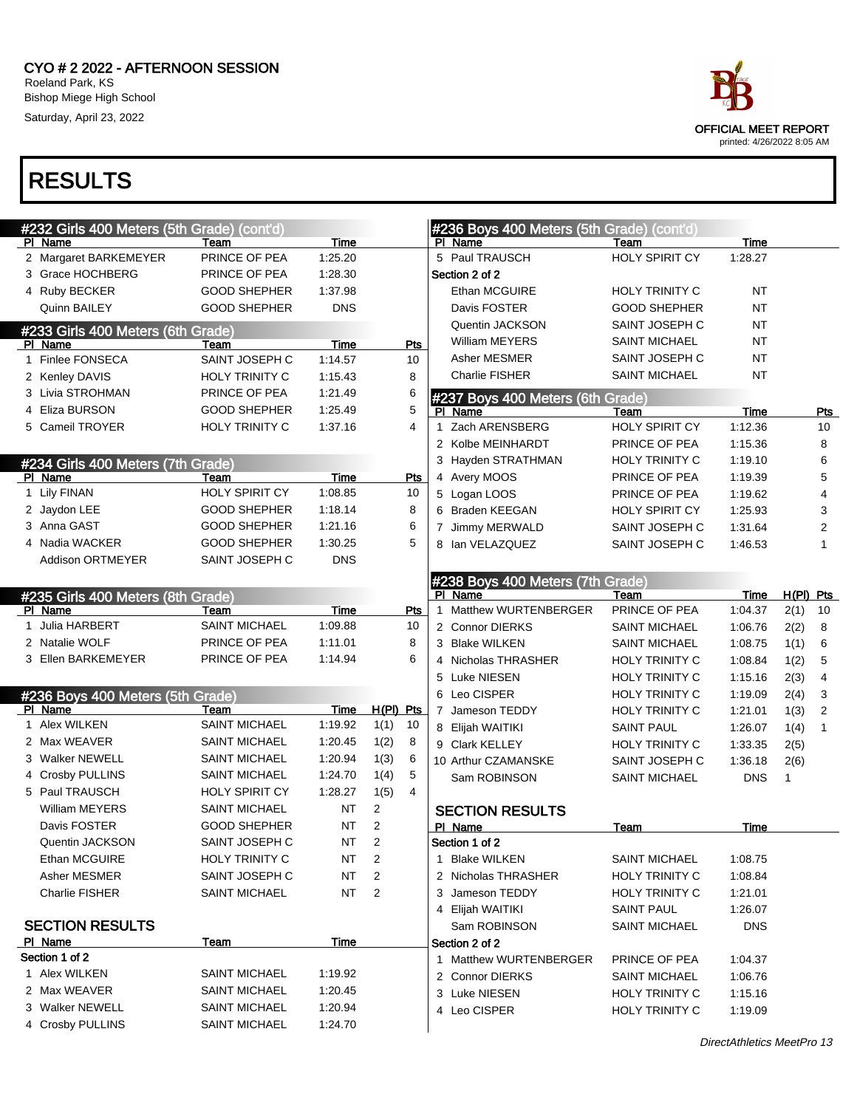| #232 Girls 400 Meters (5th Grade) (cont'd) |                       |            |             |                | #236 Boys 400 Meters (5th Grade) (cont'd) |                       |             |             |                         |
|--------------------------------------------|-----------------------|------------|-------------|----------------|-------------------------------------------|-----------------------|-------------|-------------|-------------------------|
| PI Name                                    | Team                  | Time       |             |                | PI Name                                   | Team                  | Time        |             |                         |
| 2 Margaret BARKEMEYER                      | PRINCE OF PEA         | 1:25.20    |             |                | 5 Paul TRAUSCH                            | <b>HOLY SPIRIT CY</b> | 1:28.27     |             |                         |
| 3 Grace HOCHBERG                           | PRINCE OF PEA         | 1:28.30    |             |                | Section 2 of 2                            |                       |             |             |                         |
| 4 Ruby BECKER                              | <b>GOOD SHEPHER</b>   | 1:37.98    |             |                | Ethan MCGUIRE                             | <b>HOLY TRINITY C</b> | NT          |             |                         |
| Quinn BAILEY                               | <b>GOOD SHEPHER</b>   | <b>DNS</b> |             |                | Davis FOSTER                              | <b>GOOD SHEPHER</b>   | <b>NT</b>   |             |                         |
| #233 Girls 400 Meters (6th Grade)          |                       |            |             |                | Quentin JACKSON                           | SAINT JOSEPH C        | <b>NT</b>   |             |                         |
| PI Name                                    | Team                  | Time       |             | Pts            | <b>William MEYERS</b>                     | <b>SAINT MICHAEL</b>  | <b>NT</b>   |             |                         |
| 1 Finlee FONSECA                           | SAINT JOSEPH C        | 1:14.57    |             | 10             | Asher MESMER                              | SAINT JOSEPH C        | <b>NT</b>   |             |                         |
| 2 Kenley DAVIS                             | HOLY TRINITY C        | 1:15.43    |             | 8              | Charlie FISHER                            | <b>SAINT MICHAEL</b>  | NT          |             |                         |
| 3 Livia STROHMAN                           | PRINCE OF PEA         | 1:21.49    |             | 6              | #237 Boys 400 Meters (6th Grade)          |                       |             |             |                         |
| 4 Eliza BURSON                             | <b>GOOD SHEPHER</b>   | 1:25.49    |             | 5              | PI Name                                   | Team                  | <b>Time</b> |             | Pts                     |
| 5 Cameil TROYER                            | <b>HOLY TRINITY C</b> | 1:37.16    |             | 4              | 1 Zach ARENSBERG                          | <b>HOLY SPIRIT CY</b> | 1:12.36     |             | 10                      |
|                                            |                       |            |             |                | 2 Kolbe MEINHARDT                         | PRINCE OF PEA         | 1:15.36     |             | 8                       |
| #234 Girls 400 Meters (7th Grade)          |                       |            |             |                | 3 Hayden STRATHMAN                        | <b>HOLY TRINITY C</b> | 1:19.10     |             | 6                       |
| PI Name                                    | Team                  | Time       |             | Pts            | 4 Avery MOOS                              | PRINCE OF PEA         | 1:19.39     |             | 5                       |
| 1 Lily FINAN                               | <b>HOLY SPIRIT CY</b> | 1:08.85    |             | 10             | 5 Logan LOOS                              | PRINCE OF PEA         | 1:19.62     |             | 4                       |
| 2 Jaydon LEE                               | <b>GOOD SHEPHER</b>   | 1:18.14    |             | 8              | 6 Braden KEEGAN                           | HOLY SPIRIT CY        | 1:25.93     |             | 3                       |
| 3 Anna GAST                                | <b>GOOD SHEPHER</b>   | 1:21.16    |             | 6              | 7 Jimmy MERWALD                           | SAINT JOSEPH C        | 1:31.64     |             | $\overline{\mathbf{c}}$ |
| 4 Nadia WACKER                             | <b>GOOD SHEPHER</b>   | 1:30.25    |             | 5              | 8 Ian VELAZQUEZ                           | SAINT JOSEPH C        | 1:46.53     |             | 1                       |
| <b>Addison ORTMEYER</b>                    | SAINT JOSEPH C        | <b>DNS</b> |             |                |                                           |                       |             |             |                         |
|                                            |                       |            |             |                | #238 Boys 400 Meters (7th Grade)          |                       |             |             |                         |
| #235 Girls 400 Meters (8th Grade)          |                       |            |             |                | PI Name                                   | Team                  | Time        | $H(PI)$ Pts |                         |
| PI Name                                    | Team                  | Time       |             | Pts            | 1 Matthew WURTENBERGER                    | PRINCE OF PEA         | 1:04.37     | 2(1)        | 10                      |
| 1 Julia HARBERT                            | <b>SAINT MICHAEL</b>  | 1:09.88    |             | 10             | 2 Connor DIERKS                           | <b>SAINT MICHAEL</b>  | 1:06.76     | 2(2)        | 8                       |
| 2 Natalie WOLF                             | PRINCE OF PEA         | 1:11.01    |             | 8              | 3 Blake WILKEN                            | <b>SAINT MICHAEL</b>  | 1:08.75     | 1(1)        | 6                       |
| 3 Ellen BARKEMEYER                         | PRINCE OF PEA         | 1:14.94    |             | 6              | 4 Nicholas THRASHER                       | HOLY TRINITY C        | 1:08.84     | 1(2)        | 5                       |
|                                            |                       |            |             |                | 5 Luke NIESEN                             | <b>HOLY TRINITY C</b> | 1:15.16     | 2(3)        | 4                       |
| #236 Boys 400 Meters (5th Grade)           |                       |            |             |                | 6 Leo CISPER                              | HOLY TRINITY C        | 1:19.09     | 2(4)        | 3                       |
| PI Name                                    | Team                  | Time       | $H(PI)$ Pts |                | 7 Jameson TEDDY                           | <b>HOLY TRINITY C</b> | 1:21.01     | 1(3)        | $\overline{2}$          |
| 1 Alex WILKEN                              | <b>SAINT MICHAEL</b>  | 1:19.92    | 1(1)        | 10             | 8 Elijah WAITIKI                          | <b>SAINT PAUL</b>     | 1:26.07     | 1(4)        | $\mathbf{1}$            |
| 2 Max WEAVER                               | <b>SAINT MICHAEL</b>  | 1:20.45    | 1(2)        | 8              | 9 Clark KELLEY                            | <b>HOLY TRINITY C</b> | 1:33.35     | 2(5)        |                         |
| 3 Walker NEWELL                            | <b>SAINT MICHAEL</b>  | 1:20.94    | 1(3)        | 6              | 10 Arthur CZAMANSKE                       | SAINT JOSEPH C        | 1:36.18     | 2(6)        |                         |
| 4 Crosby PULLINS                           | <b>SAINT MICHAEL</b>  | 1:24.70    | 1(4)        | 5              | Sam ROBINSON                              | <b>SAINT MICHAEL</b>  | <b>DNS</b>  | 1           |                         |
| 5 Paul TRAUSCH                             | <b>HOLY SPIRIT CY</b> | 1:28.27    | 1(5)        | $\overline{4}$ |                                           |                       |             |             |                         |
| William MEYERS                             | <b>SAINT MICHAEL</b>  | ΝT         | 2           |                | <b>SECTION RESULTS</b>                    |                       |             |             |                         |
| Davis FOSTER                               | <b>GOOD SHEPHER</b>   | NT         | 2           |                | PI Name                                   | Team                  | Time        |             |                         |
| Quentin JACKSON                            | SAINT JOSEPH C        | $\sf{NT}$  | 2           |                | Section 1 of 2                            |                       |             |             |                         |
| Ethan MCGUIRE                              | <b>HOLY TRINITY C</b> | ΝT         | 2           |                | 1 Blake WILKEN                            | <b>SAINT MICHAEL</b>  | 1:08.75     |             |                         |
| Asher MESMER                               | SAINT JOSEPH C        | ΝT         | 2           |                | 2 Nicholas THRASHER                       | HOLY TRINITY C        | 1:08.84     |             |                         |
| <b>Charlie FISHER</b>                      | SAINT MICHAEL         | NT         | 2           |                | 3 Jameson TEDDY                           | <b>HOLY TRINITY C</b> | 1:21.01     |             |                         |
|                                            |                       |            |             |                | 4 Elijah WAITIKI                          | <b>SAINT PAUL</b>     | 1:26.07     |             |                         |
| <b>SECTION RESULTS</b>                     |                       |            |             |                | Sam ROBINSON                              | <b>SAINT MICHAEL</b>  | <b>DNS</b>  |             |                         |
| PI Name                                    | <u>Team</u>           | Time       |             |                | Section 2 of 2                            |                       |             |             |                         |
| Section 1 of 2                             |                       |            |             |                | 1 Matthew WURTENBERGER                    | PRINCE OF PEA         | 1:04.37     |             |                         |
| 1 Alex WILKEN                              | <b>SAINT MICHAEL</b>  | 1:19.92    |             |                | 2 Connor DIERKS                           | <b>SAINT MICHAEL</b>  | 1:06.76     |             |                         |
| 2 Max WEAVER                               | <b>SAINT MICHAEL</b>  | 1:20.45    |             |                | 3 Luke NIESEN                             | HOLY TRINITY C        | 1:15.16     |             |                         |
| 3 Walker NEWELL                            | <b>SAINT MICHAEL</b>  | 1:20.94    |             |                | 4 Leo CISPER                              | HOLY TRINITY C        | 1:19.09     |             |                         |
| 4 Crosby PULLINS                           | <b>SAINT MICHAEL</b>  | 1:24.70    |             |                |                                           |                       |             |             |                         |

DirectAthletics MeetPro 13

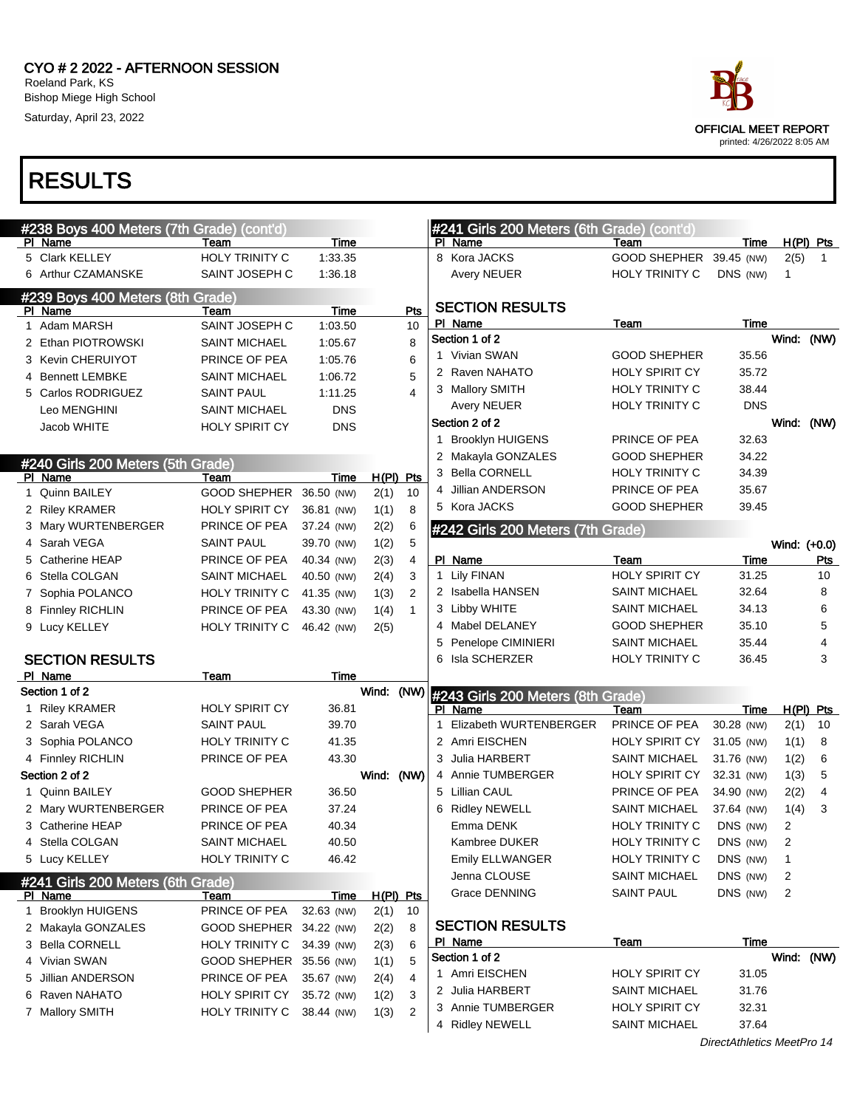

|   | #238 Boys 400 Meters (7th Grade) (cont'd) |                       |             |             |                |    | #241 Girls 200 Meters (6th Grade) (cont'd) |                       |            |              |                |
|---|-------------------------------------------|-----------------------|-------------|-------------|----------------|----|--------------------------------------------|-----------------------|------------|--------------|----------------|
|   | <b>PI Name</b>                            | Team                  | Time        |             |                |    | PI Name                                    | Team                  | Time       |              | $H(PI)$ Pts    |
|   | 5 Clark KELLEY                            | HOLY TRINITY C        | 1:33.35     |             |                |    | 8 Kora JACKS                               | <b>GOOD SHEPHER</b>   | 39.45 (NW) | 2(5)         | $\overline{1}$ |
|   | 6 Arthur CZAMANSKE                        | SAINT JOSEPH C        | 1:36.18     |             |                |    | Avery NEUER                                | HOLY TRINITY C        | DNS (NW)   | 1            |                |
|   | #239 Boys 400 Meters (8th Grade)          |                       |             |             |                |    | <b>SECTION RESULTS</b>                     |                       |            |              |                |
|   | PI Name                                   | Team                  | Time        |             | Pts            |    | PI Name                                    |                       | Time       |              |                |
|   | 1 Adam MARSH                              | SAINT JOSEPH C        | 1:03.50     |             | 10             |    | Section 1 of 2                             | Team                  |            | Wind: (NW)   |                |
|   | 2 Ethan PIOTROWSKI                        | <b>SAINT MICHAEL</b>  | 1:05.67     |             | 8              |    | 1 Vivian SWAN                              | <b>GOOD SHEPHER</b>   | 35.56      |              |                |
|   | 3 Kevin CHERUIYOT                         | PRINCE OF PEA         | 1:05.76     |             | 6              |    | 2 Raven NAHATO                             | <b>HOLY SPIRIT CY</b> | 35.72      |              |                |
|   | 4 Bennett LEMBKE                          | SAINT MICHAEL         | 1:06.72     |             | 5              |    |                                            | HOLY TRINITY C        | 38.44      |              |                |
|   | 5 Carlos RODRIGUEZ                        | <b>SAINT PAUL</b>     | 1:11.25     |             | 4              |    | 3 Mallory SMITH                            |                       |            |              |                |
|   | Leo MENGHINI                              | SAINT MICHAEL         | <b>DNS</b>  |             |                |    | <b>Avery NEUER</b>                         | <b>HOLY TRINITY C</b> | <b>DNS</b> |              |                |
|   | Jacob WHITE                               | <b>HOLY SPIRIT CY</b> | <b>DNS</b>  |             |                |    | Section 2 of 2                             |                       |            | Wind: (NW)   |                |
|   |                                           |                       |             |             |                | 1  | <b>Brooklyn HUIGENS</b>                    | PRINCE OF PEA         | 32.63      |              |                |
|   | #240 Girls 200 Meters (5th Grade)         |                       |             |             |                |    | 2 Makayla GONZALES                         | <b>GOOD SHEPHER</b>   | 34.22      |              |                |
|   | PI Name                                   | Team                  | Time        | $H(PI)$ Pts |                |    | 3 Bella CORNELL                            | <b>HOLY TRINITY C</b> | 34.39      |              |                |
|   | 1 Quinn BAILEY                            | <b>GOOD SHEPHER</b>   | 36.50 (NW)  | 2(1)        | 10             |    | 4 Jillian ANDERSON                         | PRINCE OF PEA         | 35.67      |              |                |
|   | 2 Riley KRAMER                            | HOLY SPIRIT CY        | 36.81 (NW)  | 1(1)        | 8              |    | 5 Kora JACKS                               | <b>GOOD SHEPHER</b>   | 39.45      |              |                |
|   | 3 Mary WURTENBERGER                       | PRINCE OF PEA         | 37.24 (NW)  | 2(2)        | 6              |    | #242 Girls 200 Meters (7th Grade)          |                       |            |              |                |
| 4 | Sarah VEGA                                | SAINT PAUL            | 39.70 (NW)  | 1(2)        | 5              |    |                                            |                       |            | Wind: (+0.0) |                |
|   | 5 Catherine HEAP                          | PRINCE OF PEA         | 40.34 (NW)  | 2(3)        | $\overline{4}$ |    | PI Name                                    | Team                  | Time       |              | <b>Pts</b>     |
|   | 6 Stella COLGAN                           | SAINT MICHAEL         | 40.50 (NW)  | 2(4)        | 3              | 1  | Lily FINAN                                 | <b>HOLY SPIRIT CY</b> | 31.25      |              | 10             |
|   | 7 Sophia POLANCO                          | HOLY TRINITY C        | 41.35 (NW)  | 1(3)        | $\overline{2}$ |    | 2 Isabella HANSEN                          | <b>SAINT MICHAEL</b>  | 32.64      |              | 8              |
|   | 8 Finnley RICHLIN                         | PRINCE OF PEA         | 43.30 (NW)  | 1(4)        | $\mathbf{1}$   |    | 3 Libby WHITE                              | <b>SAINT MICHAEL</b>  | 34.13      |              | 6              |
|   | 9 Lucy KELLEY                             | HOLY TRINITY C        | 46.42 (NW)  | 2(5)        |                |    | 4 Mabel DELANEY                            | <b>GOOD SHEPHER</b>   | 35.10      |              | 5              |
|   |                                           |                       |             |             |                | 5  | Penelope CIMINIERI                         | <b>SAINT MICHAEL</b>  | 35.44      |              | 4              |
|   | <b>SECTION RESULTS</b>                    |                       |             |             |                |    | 6 Isla SCHERZER                            | <b>HOLY TRINITY C</b> | 36.45      |              | 3              |
|   | PI Name                                   | Team                  | Time        |             |                |    |                                            |                       |            |              |                |
|   | Section 1 of 2                            |                       |             | Wind:       | (NW)           |    | #243 Girls 200 Meters (8th Grade)          |                       |            |              |                |
|   | 1 Riley KRAMER                            | <b>HOLY SPIRIT CY</b> | 36.81       |             |                |    | PI Name                                    | Team                  | Time       |              | $H(PI)$ Pts    |
|   | 2 Sarah VEGA                              | SAINT PAUL            | 39.70       |             |                | -1 | Elizabeth WURTENBERGER                     | PRINCE OF PEA         | 30.28 (NW) | 2(1)         | 10             |
|   | 3 Sophia POLANCO                          | <b>HOLY TRINITY C</b> | 41.35       |             |                |    | 2 Amri EISCHEN                             | <b>HOLY SPIRIT CY</b> | 31.05 (NW) | 1(1)         | 8              |
|   | 4 Finnley RICHLIN                         | PRINCE OF PEA         | 43.30       |             |                |    | 3 Julia HARBERT                            | <b>SAINT MICHAEL</b>  | 31.76 (NW) | 1(2)         | 6              |
|   | Section 2 of 2                            |                       |             | Wind: (NW)  |                |    | 4 Annie TUMBERGER                          | <b>HOLY SPIRIT CY</b> | 32.31 (NW) | 1(3)         | 5              |
|   | 1 Quinn BAILEY                            | <b>GOOD SHEPHER</b>   | 36.50       |             |                |    | 5 Lillian CAUL                             | PRINCE OF PEA         | 34.90 (NW) | 2(2)         | 4              |
|   | 2 Mary WURTENBERGER                       | PRINCE OF PEA         | 37.24       |             |                |    | 6 Ridley NEWELL                            | <b>SAINT MICHAEL</b>  | 37.64 (NW) | 1(4)         | 3              |
|   | 3 Catherine HEAP                          | PRINCE OF PEA         | 40.34       |             |                |    | Emma DENK                                  | <b>HOLY TRINITY C</b> | DNS (NW)   | 2            |                |
|   | 4 Stella COI GAN                          | SAINT MICHAEL         | 40.50       |             |                |    | Kambree DUKER                              | <b>HOLY TRINITY C</b> | DNS (NW)   |              |                |
|   | 5 Lucy KELLEY                             | <b>HOLY TRINITY C</b> | 46.42       |             |                |    | Emily ELLWANGER                            | HOLY TRINITY C        | DNS (NW)   | 1            |                |
|   | #241 Girls 200 Meters (6th Grade)         |                       |             |             |                |    | Jenna CLOUSE                               | <b>SAINT MICHAEL</b>  | DNS (NW)   | 2            |                |
|   | PI Name                                   | Team                  | <u>Time</u> | $H(PI)$ Pts |                |    | Grace DENNING                              | <b>SAINT PAUL</b>     | DNS (NW)   | 2            |                |
|   | 1 Brooklyn HUIGENS                        | PRINCE OF PEA         | 32.63 (NW)  | 2(1)        | 10             |    |                                            |                       |            |              |                |
|   | 2 Makayla GONZALES                        | GOOD SHEPHER          | 34.22 (NW)  | 2(2)        | 8              |    | <b>SECTION RESULTS</b>                     |                       |            |              |                |
|   | 3 Bella CORNELL                           | <b>HOLY TRINITY C</b> | 34.39 (NW)  | 2(3)        | 6              |    | <b>PI</b> Name                             | <u>Team</u>           | Time       |              |                |
|   | 4 Vivian SWAN                             | GOOD SHEPHER          | 35.56 (NW)  | 1(1)        | 5              |    | Section 1 of 2                             |                       |            | Wind: (NW)   |                |
|   |                                           |                       |             | 2(4)        | $\overline{4}$ |    | 1 Amri EISCHEN                             | <b>HOLY SPIRIT CY</b> | 31.05      |              |                |
|   | 5 Jillian ANDERSON                        | PRINCE OF PEA         | 35.67 (NW)  |             |                |    |                                            |                       |            |              |                |
|   | 6 Raven NAHATO                            | HOLY SPIRIT CY        | 35.72 (NW)  |             | 3              |    | 2 Julia HARBERT                            | <b>SAINT MICHAEL</b>  | 31.76      |              |                |
|   | 7 Mallory SMITH                           | HOLY TRINITY C        | 38.44 (NW)  | 1(2)        | $\overline{2}$ |    | 3 Annie TUMBERGER                          | <b>HOLY SPIRIT CY</b> | 32.31      |              |                |
|   |                                           |                       |             | 1(3)        |                |    | 4 Ridley NEWELL                            | <b>SAINT MICHAEL</b>  | 37.64      |              |                |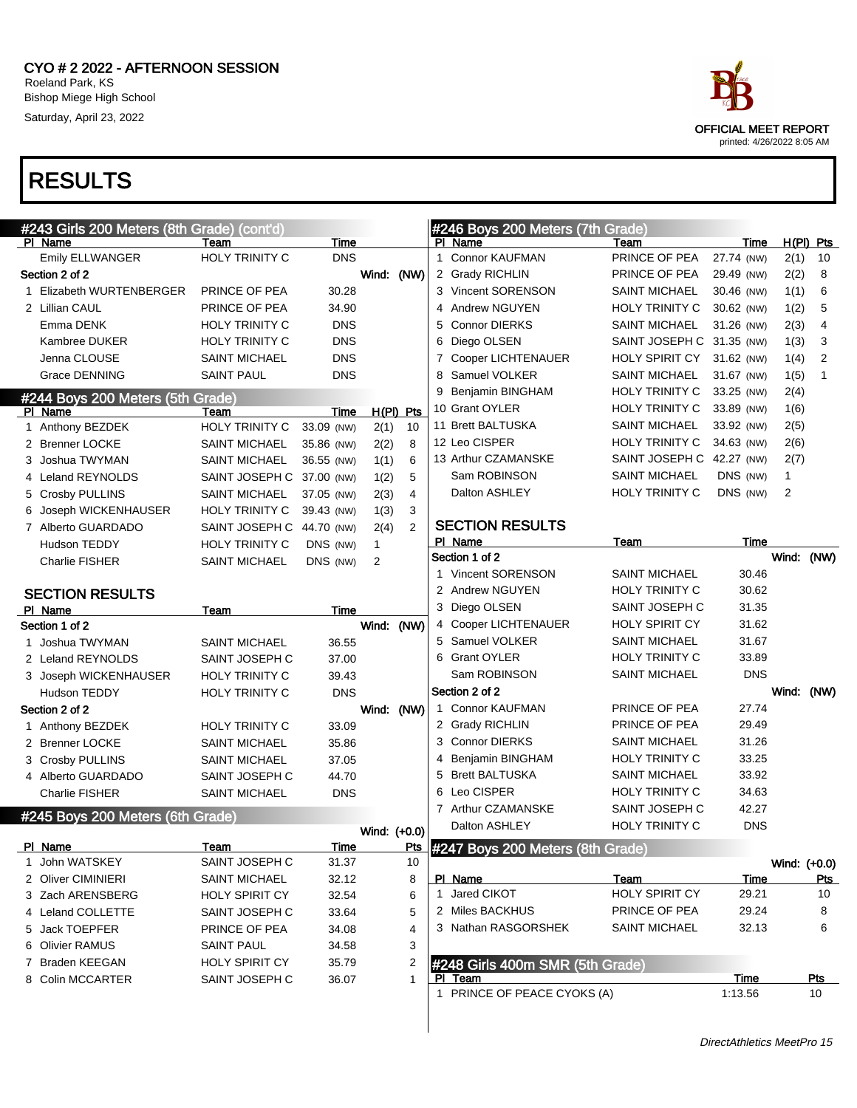| #243 Girls 200 Meters (8th Grade) (cont'd) |                           |             |              |                |   | #246 Boys 200 Meters (7th Grade)               |                           |             |       |              |
|--------------------------------------------|---------------------------|-------------|--------------|----------------|---|------------------------------------------------|---------------------------|-------------|-------|--------------|
| PI Name                                    | Team                      | Time        |              |                |   | PI Name                                        | Team                      | Time        |       | $H(PI)$ Pts  |
| Emily ELLWANGER                            | HOLY TRINITY C            | <b>DNS</b>  |              |                |   | 1 Connor KAUFMAN                               | PRINCE OF PEA             | 27.74 (NW)  | 2(1)  | 10           |
| Section 2 of 2                             |                           |             | Wind: (NW)   |                |   | 2 Grady RICHLIN                                | PRINCE OF PEA             | 29.49 (NW)  | 2(2)  | 8            |
| 1 Elizabeth WURTENBERGER                   | PRINCE OF PEA             | 30.28       |              |                |   | 3 Vincent SORENSON                             | <b>SAINT MICHAEL</b>      | 30.46 (NW)  | 1(1)  | 6            |
| 2 Lillian CAUL                             | PRINCE OF PEA             | 34.90       |              |                |   | 4 Andrew NGUYEN                                | HOLY TRINITY C            | 30.62 (NW)  | 1(2)  | 5            |
| Emma DENK                                  | <b>HOLY TRINITY C</b>     | <b>DNS</b>  |              |                | 5 | <b>Connor DIERKS</b>                           | <b>SAINT MICHAEL</b>      | 31.26 (NW)  | 2(3)  | 4            |
| Kambree DUKER                              | <b>HOLY TRINITY C</b>     | <b>DNS</b>  |              |                | 6 | Diego OLSEN                                    | SAINT JOSEPH C 31.35 (NW) |             | 1(3)  | 3            |
| Jenna CLOUSE                               | <b>SAINT MICHAEL</b>      | <b>DNS</b>  |              |                | 7 | <b>Cooper LICHTENAUER</b>                      | HOLY SPIRIT CY            | 31.62 (NW)  | 1(4)  | 2            |
| <b>Grace DENNING</b>                       | <b>SAINT PAUL</b>         | <b>DNS</b>  |              |                |   | 8 Samuel VOLKER                                | <b>SAINT MICHAEL</b>      | 31.67 (NW)  | 1(5)  | 1            |
| #244 Boys 200 Meters (5th Grade)           |                           |             |              |                | 9 | Benjamin BINGHAM                               | HOLY TRINITY C            | 33.25 (NW)  | 2(4)  |              |
| PI Name                                    | Team                      | Time        |              | $H(PI)$ Pts    |   | 10 Grant OYLER                                 | HOLY TRINITY C            | 33.89 (NW)  | 1(6)  |              |
| 1 Anthony BEZDEK                           | HOLY TRINITY C            | 33.09 (NW)  | 2(1)         | 10             |   | 11 Brett BALTUSKA                              | <b>SAINT MICHAEL</b>      | 33.92 (NW)  | 2(5)  |              |
| 2 Brenner LOCKE                            | <b>SAINT MICHAEL</b>      | 35.86 (NW)  | 2(2)         | 8              |   | 12 Leo CISPER                                  | HOLY TRINITY C            | 34.63 (NW)  | 2(6)  |              |
| 3 Joshua TWYMAN                            | <b>SAINT MICHAEL</b>      | 36.55 (NW)  | 1(1)         | 6              |   | 13 Arthur CZAMANSKE                            | SAINT JOSEPH C 42.27 (NW) |             | 2(7)  |              |
| 4 Leland REYNOLDS                          | SAINT JOSEPH C 37.00 (NW) |             | 1(2)         | 5              |   | Sam ROBINSON                                   | <b>SAINT MICHAEL</b>      | DNS (NW)    | 1     |              |
| 5 Crosby PULLINS                           | <b>SAINT MICHAEL</b>      | 37.05 (NW)  | 2(3)         | 4              |   | Dalton ASHLEY                                  | HOLY TRINITY C            | DNS (NW)    | 2     |              |
| 6 Joseph WICKENHAUSER                      | <b>HOLY TRINITY C</b>     | 39.43 (NW)  | 1(3)         | 3              |   |                                                |                           |             |       |              |
| 7 Alberto GUARDADO                         | SAINT JOSEPH C 44.70 (NW) |             | 2(4)         | $\overline{2}$ |   | <b>SECTION RESULTS</b>                         |                           |             |       |              |
| Hudson TEDDY                               | <b>HOLY TRINITY C</b>     | DNS (NW)    | $\mathbf{1}$ |                |   | PI Name                                        | Team                      | Time        |       |              |
| <b>Charlie FISHER</b>                      | <b>SAINT MICHAEL</b>      | DNS (NW)    | 2            |                |   | Section 1 of 2                                 |                           |             | Wind: | (NW)         |
|                                            |                           |             |              |                |   | 1 Vincent SORENSON                             | <b>SAINT MICHAEL</b>      | 30.46       |       |              |
| <b>SECTION RESULTS</b>                     |                           |             |              |                |   | 2 Andrew NGUYEN                                | HOLY TRINITY C            | 30.62       |       |              |
| PI Name                                    | Team                      | Time        |              |                |   | 3 Diego OLSEN                                  | SAINT JOSEPH C            | 31.35       |       |              |
| Section 1 of 2                             |                           |             | Wind:        | (NW)           |   | 4 Cooper LICHTENAUER                           | <b>HOLY SPIRIT CY</b>     | 31.62       |       |              |
| 1 Joshua TWYMAN                            | <b>SAINT MICHAEL</b>      | 36.55       |              |                |   | 5 Samuel VOLKER                                | <b>SAINT MICHAEL</b>      | 31.67       |       |              |
| 2 Leland REYNOLDS                          | SAINT JOSEPH C            | 37.00       |              |                |   | 6 Grant OYLER                                  | HOLY TRINITY C            | 33.89       |       |              |
| 3 Joseph WICKENHAUSER                      | <b>HOLY TRINITY C</b>     | 39.43       |              |                |   | Sam ROBINSON                                   | <b>SAINT MICHAEL</b>      | <b>DNS</b>  |       |              |
| Hudson TEDDY                               | HOLY TRINITY C            | <b>DNS</b>  |              |                |   | Section 2 of 2                                 |                           |             |       | Wind: (NW)   |
| Section 2 of 2                             |                           |             | Wind: (NW)   |                |   | 1 Connor KAUFMAN                               | PRINCE OF PEA             | 27.74       |       |              |
| 1 Anthony BEZDEK                           | <b>HOLY TRINITY C</b>     | 33.09       |              |                |   | 2 Grady RICHLIN                                | PRINCE OF PEA             | 29.49       |       |              |
| 2 Brenner LOCKE                            | <b>SAINT MICHAEL</b>      | 35.86       |              |                |   | 3 Connor DIERKS                                | <b>SAINT MICHAEL</b>      | 31.26       |       |              |
| 3 Crosby PULLINS                           | <b>SAINT MICHAEL</b>      | 37.05       |              |                | 4 | Benjamin BINGHAM                               | HOLY TRINITY C            | 33.25       |       |              |
| 4 Alberto GUARDADO                         | SAINT JOSEPH C            | 44.70       |              |                | 5 | <b>Brett BALTUSKA</b>                          | <b>SAINT MICHAEL</b>      | 33.92       |       |              |
| Charlie FISHER                             | <b>SAINT MICHAEL</b>      | <b>DNS</b>  |              |                | 6 | Leo CISPER                                     | <b>HOLY TRINITY C</b>     | 34.63       |       |              |
| #245 Boys 200 Meters (6th Grade)           |                           |             |              |                |   | 7 Arthur CZAMANSKE                             | SAINT JOSEPH C            | 42.27       |       |              |
|                                            |                           |             | Wind: (+0.0) |                |   | Dalton ASHLEY                                  | <b>HOLY TRINITY C</b>     | <b>DNS</b>  |       |              |
| <u>PI Name</u>                             | <u>Team</u>               | <u>Time</u> |              | <u>Pts</u>     |   | $\frac{1}{2}$ #247 Boys 200 Meters (8th Grade) |                           |             |       |              |
| 1 John WATSKEY                             | SAINT JOSEPH C            | 31.37       |              | 10             |   |                                                |                           |             |       | Wind: (+0.0) |
| 2 Oliver CIMINIERI                         | SAINT MICHAEL             | 32.12       |              | 8              |   | PI Name                                        | Team                      | <u>Time</u> |       | <u>Pts</u>   |
| 3 Zach ARENSBERG                           | HOLY SPIRIT CY            | 32.54       |              | 6              |   | 1 Jared CIKOT                                  | HOLY SPIRIT CY            | 29.21       |       | 10           |
| 4 Leland COLLETTE                          | SAINT JOSEPH C            | 33.64       |              | 5              |   | 2 Miles BACKHUS                                | PRINCE OF PEA             | 29.24       |       | 8            |
| 5 Jack TOEPFER                             | PRINCE OF PEA             | 34.08       |              | 4              |   | 3 Nathan RASGORSHEK                            | <b>SAINT MICHAEL</b>      | 32.13       |       | 6            |
| 6 Olivier RAMUS                            | <b>SAINT PAUL</b>         | 34.58       |              | 3              |   |                                                |                           |             |       |              |
| 7 Braden KEEGAN                            | HOLY SPIRIT CY            | 35.79       |              | 2              |   | #248 Girls 400m SMR (5th Grade)                |                           |             |       |              |
| 8 Colin MCCARTER                           | SAINT JOSEPH C            | 36.07       |              | 1              |   | PI Team                                        |                           | Time        |       | <u>Pts</u>   |
|                                            |                           |             |              |                |   | 1 PRINCE OF PEACE CYOKS (A)                    |                           | 1:13.56     |       | 10           |

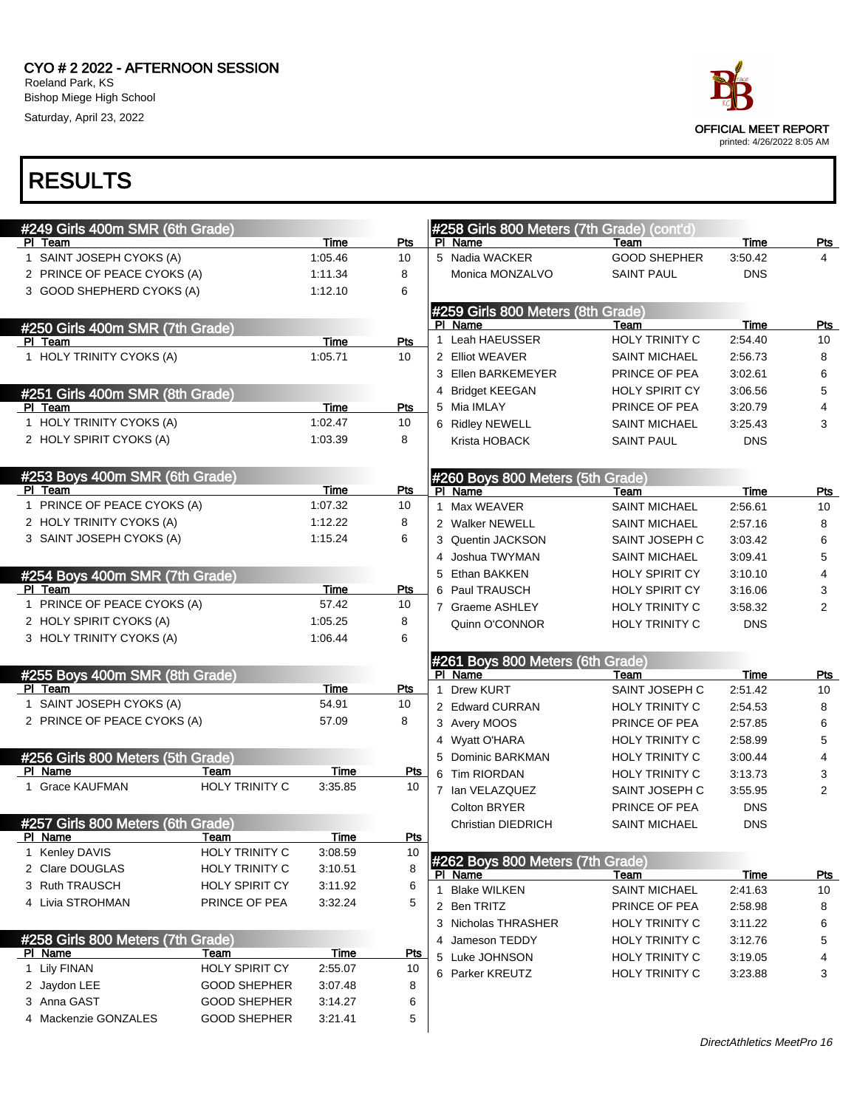

|                                           | #249 Girls 400m SMR (6th Grade)           |                       |             |            |                  | #258 Girls 800 Meters (7th Grade) (cont'd)  |                       |             |                |
|-------------------------------------------|-------------------------------------------|-----------------------|-------------|------------|------------------|---------------------------------------------|-----------------------|-------------|----------------|
|                                           | PI Team                                   |                       | Time        | Pts        |                  | PI Name                                     | Team                  | Time        | <b>Pts</b>     |
|                                           | 1 SAINT JOSEPH CYOKS (A)                  |                       | 1:05.46     | 10         |                  | 5 Nadia WACKER                              | <b>GOOD SHEPHER</b>   | 3:50.42     | 4              |
|                                           | 2 PRINCE OF PEACE CYOKS (A)               |                       | 1:11.34     | 8          |                  | Monica MONZALVO                             | <b>SAINT PAUL</b>     | <b>DNS</b>  |                |
|                                           | 3 GOOD SHEPHERD CYOKS (A)                 |                       | 1:12.10     | 6          |                  |                                             |                       |             |                |
|                                           |                                           |                       |             |            |                  | #259 Girls 800 Meters (8th Grade)           |                       |             |                |
|                                           | #250 Girls 400m SMR (7th Grade)           |                       |             |            |                  | PI Name                                     | Team                  | Time        | <b>Pts</b>     |
|                                           | PI Team                                   |                       | Time        | Pts        |                  | 1 Leah HAEUSSER                             | <b>HOLY TRINITY C</b> | 2:54.40     | 10             |
|                                           | 1 HOLY TRINITY CYOKS (A)                  |                       | 1:05.71     | 10         |                  | 2 Elliot WEAVER                             | <b>SAINT MICHAEL</b>  | 2:56.73     | 8              |
|                                           |                                           |                       |             |            |                  | 3 Ellen BARKEMEYER                          | PRINCE OF PEA         | 3:02.61     | 6              |
| #251 Girls 400m SMR (8th Grade)           |                                           |                       |             |            |                  | 4 Bridget KEEGAN                            | <b>HOLY SPIRIT CY</b> | 3:06.56     | 5              |
|                                           | PI Team                                   |                       | Time        | Pts        |                  | 5 Mia IMLAY                                 | PRINCE OF PEA         | 3:20.79     | 4              |
|                                           | 1 HOLY TRINITY CYOKS (A)                  |                       | 1:02.47     | 10         |                  | 6 Ridley NEWELL                             | <b>SAINT MICHAEL</b>  | 3:25.43     | 3              |
|                                           | 2 HOLY SPIRIT CYOKS (A)                   |                       | 1:03.39     | 8          |                  | Krista HOBACK                               | <b>SAINT PAUL</b>     | <b>DNS</b>  |                |
|                                           |                                           |                       |             |            |                  |                                             |                       |             |                |
|                                           | #253 Boys 400m SMR (6th Grade)<br>PI Team |                       | Time        | Pts        |                  | #260 Boys 800 Meters (5th Grade)<br>PI Name | Team                  | Time        | Pts            |
|                                           | 1 PRINCE OF PEACE CYOKS (A)               |                       | 1:07.32     | 10         |                  | 1 Max WEAVER                                | <b>SAINT MICHAEL</b>  | 2:56.61     | 10             |
|                                           | 2 HOLY TRINITY CYOKS (A)                  |                       | 1:12.22     | 8          |                  | 2 Walker NEWELL                             | <b>SAINT MICHAEL</b>  | 2:57.16     | 8              |
|                                           | 3 SAINT JOSEPH CYOKS (A)                  |                       | 1:15.24     | 6          |                  | 3 Quentin JACKSON                           | SAINT JOSEPH C        | 3:03.42     | 6              |
|                                           |                                           |                       |             |            | 4                | Joshua TWYMAN                               | <b>SAINT MICHAEL</b>  | 3:09.41     | 5              |
|                                           |                                           |                       |             |            |                  | 5 Ethan BAKKEN                              | <b>HOLY SPIRIT CY</b> | 3:10.10     | 4              |
| #254 Boys 400m SMR (7th Grade)<br>PI Team |                                           |                       | Time        | Pts        |                  | 6 Paul TRAUSCH                              | <b>HOLY SPIRIT CY</b> | 3:16.06     | 3              |
| 1 PRINCE OF PEACE CYOKS (A)               |                                           | 57.42                 | 10          |            | 7 Graeme ASHLEY  | <b>HOLY TRINITY C</b>                       | 3:58.32               | 2           |                |
|                                           | 2 HOLY SPIRIT CYOKS (A)                   | 1:05.25               | 8           |            | Quinn O'CONNOR   | <b>HOLY TRINITY C</b>                       | <b>DNS</b>            |             |                |
| 3 HOLY TRINITY CYOKS (A)                  |                                           | 1:06.44               | 6           |            |                  |                                             |                       |             |                |
|                                           |                                           |                       |             |            |                  | #261 Boys 800 Meters (6th Grade)            |                       |             |                |
|                                           | #255 Boys 400m SMR (8th Grade)            |                       |             |            |                  | PI Name                                     | Team                  | Time        | <u>Pts</u>     |
| PI Team                                   |                                           | Time                  | Pts         | 1          | <b>Drew KURT</b> | SAINT JOSEPH C                              | 2:51.42               | 10          |                |
|                                           | 1 SAINT JOSEPH CYOKS (A)                  |                       | 54.91       | 10         |                  | 2 Edward CURRAN                             | HOLY TRINITY C        | 2:54.53     | 8              |
|                                           | 2 PRINCE OF PEACE CYOKS (A)               |                       | 57.09       | 8          |                  | 3 Avery MOOS                                | PRINCE OF PEA         | 2:57.85     | 6              |
|                                           |                                           |                       |             |            |                  | 4 Wyatt O'HARA                              | HOLY TRINITY C        | 2:58.99     | 5              |
|                                           | #256 Girls 800 Meters (5th Grade)         |                       |             |            |                  | 5 Dominic BARKMAN                           | HOLY TRINITY C        | 3:00.44     | 4              |
|                                           | PI Name                                   | Team                  | Time        | <u>Pts</u> |                  | 6 Tim RIORDAN                               | <b>HOLY TRINITY C</b> | 3:13.73     | 3              |
|                                           | 1 Grace KAUFMAN                           | <b>HOLY TRINITY C</b> | 3:35.85     | 10         |                  | 7 Ian VELAZQUEZ                             | SAINT JOSEPH C        | 3:55.95     | $\overline{2}$ |
|                                           |                                           |                       |             |            |                  | Colton BRYER                                | PRINCE OF PEA         | <b>DNS</b>  |                |
|                                           | #257 Girls 800 Meters (6th Grade)         |                       |             |            |                  | Christian DIEDRICH                          | <b>SAINT MICHAEL</b>  | <b>DNS</b>  |                |
|                                           | PI Name                                   | Team                  | Time        | Pts        |                  |                                             |                       |             |                |
|                                           | 1 Kenley DAVIS                            | <b>HOLY TRINITY C</b> | 3:08.59     | 10         |                  | #262 Boys 800 Meters (7th Grade)            |                       |             |                |
|                                           | 2 Clare DOUGLAS                           | <b>HOLY TRINITY C</b> | 3:10.51     | 8          |                  | PI Name                                     | Team                  | <b>Time</b> | <u>Pts</u>     |
|                                           | 3 Ruth TRAUSCH                            | <b>HOLY SPIRIT CY</b> | 3:11.92     | 6          |                  | 1 Blake WILKEN                              | <b>SAINT MICHAEL</b>  | 2:41.63     | 10             |
|                                           | 4 Livia STROHMAN                          | PRINCE OF PEA         | 3:32.24     | 5          |                  | 2 Ben TRITZ                                 | PRINCE OF PEA         | 2:58.98     | 8              |
|                                           |                                           |                       |             |            |                  | 3 Nicholas THRASHER                         | <b>HOLY TRINITY C</b> | 3:11.22     | 6              |
|                                           | #258 Girls 800 Meters (7th Grade)         |                       |             |            |                  | 4 Jameson TEDDY                             | HOLY TRINITY C        | 3:12.76     | 5              |
|                                           | PI Name                                   | Team                  | <u>Time</u> | <u>Pts</u> |                  | 5 Luke JOHNSON                              | HOLY TRINITY C        | 3:19.05     | 4              |
|                                           | 1 Lily FINAN                              | HOLY SPIRIT CY        | 2:55.07     | 10         |                  | 6 Parker KREUTZ                             | HOLY TRINITY C        | 3:23.88     | 3              |
|                                           | 2 Jaydon LEE                              | <b>GOOD SHEPHER</b>   | 3:07.48     | 8          |                  |                                             |                       |             |                |
|                                           | 3 Anna GAST                               | <b>GOOD SHEPHER</b>   | 3:14.27     | 6          |                  |                                             |                       |             |                |
|                                           | 4 Mackenzie GONZALES                      | <b>GOOD SHEPHER</b>   | 3:21.41     | 5          |                  |                                             |                       |             |                |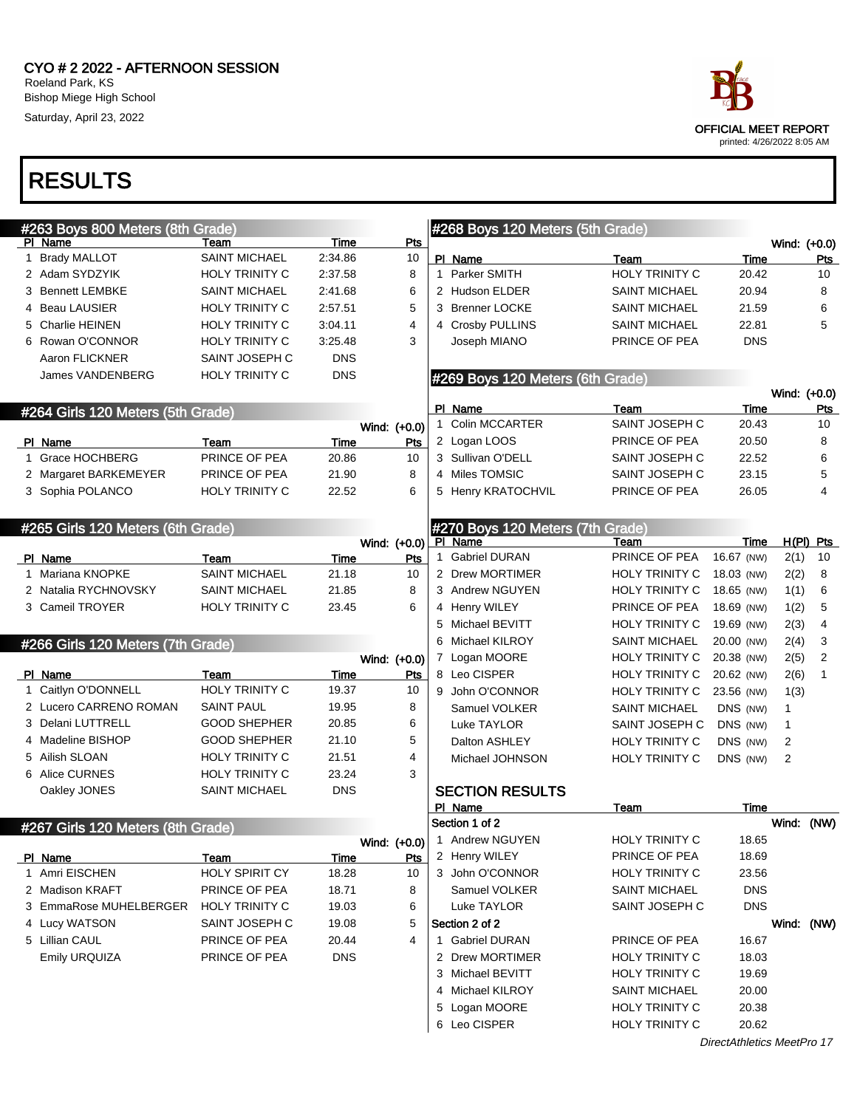| #263 Boys 800 Meters (8th Grade) |                                   |                       |             |  | #268 Boys 120 Meters (5th Grade) |                                  |                       |            |              |                |
|----------------------------------|-----------------------------------|-----------------------|-------------|--|----------------------------------|----------------------------------|-----------------------|------------|--------------|----------------|
|                                  | PI Name                           | Team                  | Time        |  | <u>Pts</u>                       |                                  |                       |            | Wind: (+0.0) |                |
|                                  | 1 Brady MALLOT                    | <b>SAINT MICHAEL</b>  | 2:34.86     |  | 10                               | PI Name                          | Team                  | Time       |              | <u>Pts</u>     |
|                                  | 2 Adam SYDZYIK                    | HOLY TRINITY C        | 2:37.58     |  | 8                                | 1 Parker SMITH                   | HOLY TRINITY C        | 20.42      |              | 10             |
|                                  | 3 Bennett LEMBKE                  | <b>SAINT MICHAEL</b>  | 2:41.68     |  | 6                                | 2 Hudson ELDER                   | <b>SAINT MICHAEL</b>  | 20.94      |              | 8              |
|                                  | 4 Beau LAUSIER                    | HOLY TRINITY C        | 2:57.51     |  | 5                                | 3 Brenner LOCKE                  | <b>SAINT MICHAEL</b>  | 21.59      |              | 6              |
|                                  | 5 Charlie HEINEN                  | HOLY TRINITY C        | 3:04.11     |  | $\overline{4}$                   | 4 Crosby PULLINS                 | <b>SAINT MICHAEL</b>  | 22.81      |              | 5              |
|                                  | 6 Rowan O'CONNOR                  | HOLY TRINITY C        | 3:25.48     |  | 3                                | Joseph MIANO                     | PRINCE OF PEA         | <b>DNS</b> |              |                |
|                                  | Aaron FLICKNER                    | SAINT JOSEPH C        | <b>DNS</b>  |  |                                  |                                  |                       |            |              |                |
|                                  | <b>James VANDENBERG</b>           | <b>HOLY TRINITY C</b> | <b>DNS</b>  |  |                                  | #269 Boys 120 Meters (6th Grade) |                       |            |              |                |
|                                  |                                   |                       |             |  |                                  |                                  |                       |            | Wind: (+0.0) |                |
|                                  | #264 Girls 120 Meters (5th Grade) |                       |             |  |                                  | PI Name                          | Team                  | Time       |              | <b>Pts</b>     |
|                                  |                                   |                       |             |  | Wind: (+0.0)                     | 1 Colin MCCARTER                 | SAINT JOSEPH C        | 20.43      |              | 10             |
|                                  | PI Name                           | Team                  | Time        |  | Pts                              | 2 Logan LOOS                     | PRINCE OF PEA         | 20.50      |              | 8              |
|                                  | 1 Grace HOCHBERG                  | PRINCE OF PEA         | 20.86       |  | 10                               | 3 Sullivan O'DELL                | SAINT JOSEPH C        | 22.52      |              | 6              |
|                                  | 2 Margaret BARKEMEYER             | PRINCE OF PEA         | 21.90       |  | 8                                | 4 Miles TOMSIC                   | SAINT JOSEPH C        | 23.15      |              | 5              |
|                                  | 3 Sophia POLANCO                  | <b>HOLY TRINITY C</b> | 22.52       |  | 6                                | 5 Henry KRATOCHVIL               | PRINCE OF PEA         | 26.05      |              | 4              |
|                                  |                                   |                       |             |  |                                  |                                  |                       |            |              |                |
|                                  | #265 Girls 120 Meters (6th Grade) |                       |             |  |                                  | #270 Boys 120 Meters (7th Grade) |                       |            |              |                |
|                                  |                                   |                       |             |  | Wind: (+0.0)                     | PI Name                          | Team                  | Time       |              | $H(PI)$ Pts    |
|                                  | PI Name                           | Team                  | Time        |  | Pts                              | 1 Gabriel DURAN                  | PRINCE OF PEA         | 16.67 (NW) | 2(1)         | 10             |
|                                  | 1 Mariana KNOPKE                  | <b>SAINT MICHAEL</b>  | 21.18       |  | 10                               | 2 Drew MORTIMER                  | <b>HOLY TRINITY C</b> | 18.03 (NW) | 2(2)         | 8              |
|                                  | 2 Natalia RYCHNOVSKY              | <b>SAINT MICHAEL</b>  | 21.85       |  | 8                                | 3 Andrew NGUYEN                  | <b>HOLY TRINITY C</b> | 18.65 (NW) | 1(1)         | 6              |
|                                  | 3 Cameil TROYER                   | <b>HOLY TRINITY C</b> | 23.45       |  | 6                                | 4 Henry WILEY                    | PRINCE OF PEA         | 18.69 (NW) | 1(2)         | 5              |
|                                  |                                   |                       |             |  |                                  | 5 Michael BEVITT                 | HOLY TRINITY C        | 19.69 (NW) | 2(3)         | 4              |
|                                  | #266 Girls 120 Meters (7th Grade) |                       |             |  |                                  | 6 Michael KILROY                 | <b>SAINT MICHAEL</b>  | 20.00 (NW) | 2(4)         | 3              |
|                                  |                                   |                       |             |  | Wind: (+0.0)                     | 7 Logan MOORE                    | <b>HOLY TRINITY C</b> | 20.38 (NW) | 2(5)         | $\overline{2}$ |
|                                  | PI Name                           | Team                  | Time        |  | <u>Pts</u>                       | 8 Leo CISPER                     | <b>HOLY TRINITY C</b> | 20.62 (NW) | 2(6)         | $\mathbf{1}$   |
|                                  | 1 Caitlyn O'DONNELL               | <b>HOLY TRINITY C</b> | 19.37       |  | 10                               | 9 John O'CONNOR                  | HOLY TRINITY C        | 23.56 (NW) | 1(3)         |                |
|                                  | 2 Lucero CARRENO ROMAN            | <b>SAINT PAUL</b>     | 19.95       |  | 8                                | Samuel VOLKER                    | <b>SAINT MICHAEL</b>  | DNS (NW)   | 1            |                |
|                                  | 3 Delani LUTTRELL                 | <b>GOOD SHEPHER</b>   | 20.85       |  | 6                                | Luke TAYLOR                      | SAINT JOSEPH C        | DNS (NW)   | 1            |                |
|                                  | 4 Madeline BISHOP                 | <b>GOOD SHEPHER</b>   | 21.10       |  | 5                                | Dalton ASHLEY                    | HOLY TRINITY C        | DNS (NW)   | 2            |                |
|                                  | 5 Ailish SLOAN                    | <b>HOLY TRINITY C</b> | 21.51       |  | $\overline{4}$                   | Michael JOHNSON                  | <b>HOLY TRINITY C</b> | DNS (NW)   | 2            |                |
|                                  | 6 Alice CURNES                    | <b>HOLY TRINITY C</b> | 23.24       |  | 3                                |                                  |                       |            |              |                |
|                                  | Oakley JONES                      | <b>SAINT MICHAEL</b>  | <b>DNS</b>  |  |                                  | <b>SECTION RESULTS</b>           |                       |            |              |                |
|                                  |                                   |                       |             |  |                                  | PI Name                          | Team                  | Time       |              |                |
|                                  | #267 Girls 120 Meters (8th Grade) |                       |             |  |                                  | Section 1 of 2                   |                       |            | Wind: (NW)   |                |
|                                  |                                   |                       |             |  |                                  | Wind: (+0.0) 1 Andrew NGUYEN     | HOLY TRINITY C        | 18.65      |              |                |
|                                  | PI Name                           | Team                  | <u>Time</u> |  | Pts                              | 2 Henry WILEY                    | PRINCE OF PEA         | 18.69      |              |                |
|                                  | 1 Amri EISCHEN                    | <b>HOLY SPIRIT CY</b> | 18.28       |  | 10                               | 3 John O'CONNOR                  | HOLY TRINITY C        | 23.56      |              |                |
|                                  | 2 Madison KRAFT                   | PRINCE OF PEA         | 18.71       |  | 8                                | Samuel VOLKER                    | <b>SAINT MICHAEL</b>  | <b>DNS</b> |              |                |
|                                  | 3 EmmaRose MUHELBERGER            | HOLY TRINITY C        | 19.03       |  | 6                                | Luke TAYLOR                      | SAINT JOSEPH C        | <b>DNS</b> |              |                |
|                                  | 4 Lucy WATSON                     | SAINT JOSEPH C        | 19.08       |  | 5                                | Section 2 of 2                   |                       |            | Wind: (NW)   |                |
|                                  | 5 Lillian CAUL                    | PRINCE OF PEA         | 20.44       |  | 4                                | 1 Gabriel DURAN                  | PRINCE OF PEA         | 16.67      |              |                |
|                                  | Emily URQUIZA                     | PRINCE OF PEA         | <b>DNS</b>  |  |                                  | 2 Drew MORTIMER                  | HOLY TRINITY C        | 18.03      |              |                |
|                                  |                                   |                       |             |  |                                  | 3 Michael BEVITT                 | <b>HOLY TRINITY C</b> | 19.69      |              |                |
|                                  |                                   |                       |             |  |                                  | 4 Michael KILROY                 | <b>SAINT MICHAEL</b>  | 20.00      |              |                |
|                                  |                                   |                       |             |  |                                  | 5 Logan MOORE                    | HOLY TRINITY C        | 20.38      |              |                |
|                                  |                                   |                       |             |  |                                  | 6 Leo CISPER                     | HOLY TRINITY C        | 20.62      |              |                |
|                                  |                                   |                       |             |  |                                  |                                  |                       |            |              |                |